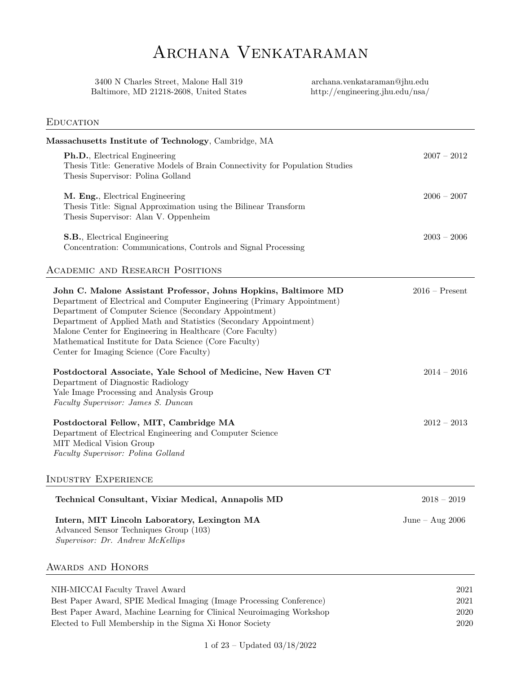# ARCHANA VENKATARAMAN

3400 N Charles Street, Malone Hall 319 archana.venkataraman@jhu.edu Baltimore, MD 21218-2608, United States http://engineering.jhu.edu/nsa/

## **EDUCATION**

| Massachusetts Institute of Technology, Cambridge, MA                                                                                                                                                                                                                                                                                                                                                                                           |                      |
|------------------------------------------------------------------------------------------------------------------------------------------------------------------------------------------------------------------------------------------------------------------------------------------------------------------------------------------------------------------------------------------------------------------------------------------------|----------------------|
| <b>Ph.D.</b> , Electrical Engineering<br>Thesis Title: Generative Models of Brain Connectivity for Population Studies<br>Thesis Supervisor: Polina Golland                                                                                                                                                                                                                                                                                     | $2007 - 2012$        |
| M. Eng., Electrical Engineering<br>Thesis Title: Signal Approximation using the Bilinear Transform<br>Thesis Supervisor: Alan V. Oppenheim                                                                                                                                                                                                                                                                                                     | $2006 - 2007$        |
| S.B., Electrical Engineering<br>Concentration: Communications, Controls and Signal Processing                                                                                                                                                                                                                                                                                                                                                  | $2003 - 2006$        |
| <b>ACADEMIC AND RESEARCH POSITIONS</b>                                                                                                                                                                                                                                                                                                                                                                                                         |                      |
| John C. Malone Assistant Professor, Johns Hopkins, Baltimore MD<br>Department of Electrical and Computer Engineering (Primary Appointment)<br>Department of Computer Science (Secondary Appointment)<br>Department of Applied Math and Statistics (Secondary Appointment)<br>Malone Center for Engineering in Healthcare (Core Faculty)<br>Mathematical Institute for Data Science (Core Faculty)<br>Center for Imaging Science (Core Faculty) | $2016$ – Present     |
| Postdoctoral Associate, Yale School of Medicine, New Haven CT<br>Department of Diagnostic Radiology<br>Yale Image Processing and Analysis Group<br>Faculty Supervisor: James S. Duncan                                                                                                                                                                                                                                                         | $2014 - 2016$        |
| Postdoctoral Fellow, MIT, Cambridge MA<br>Department of Electrical Engineering and Computer Science<br>MIT Medical Vision Group<br>Faculty Supervisor: Polina Golland                                                                                                                                                                                                                                                                          | $2012 - 2013$        |
| <b>INDUSTRY EXPERIENCE</b>                                                                                                                                                                                                                                                                                                                                                                                                                     |                      |
| Technical Consultant, Vixiar Medical, Annapolis MD                                                                                                                                                                                                                                                                                                                                                                                             | $2018 - 2019$        |
| Intern, MIT Lincoln Laboratory, Lexington MA<br>Advanced Sensor Techniques Group (103)<br>Supervisor: Dr. Andrew McKellips                                                                                                                                                                                                                                                                                                                     | June – Aug $2006$    |
| AWARDS AND HONORS                                                                                                                                                                                                                                                                                                                                                                                                                              |                      |
| NIH-MICCAI Faculty Travel Award<br>Best Paper Award, SPIE Medical Imaging (Image Processing Conference)<br>Best Paper Award, Machine Learning for Clinical Neuroimaging Workshop                                                                                                                                                                                                                                                               | 2021<br>2021<br>2020 |

Elected to Full Membership in the Sigma Xi Honor Society 2020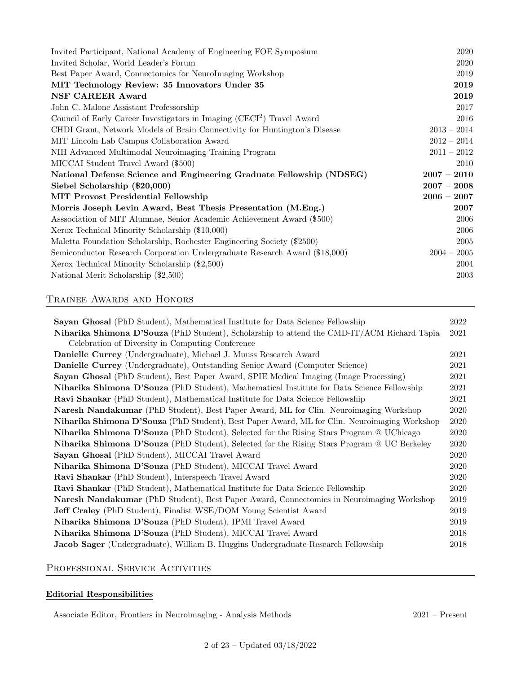| Invited Participant, National Academy of Engineering FOE Symposium                 | 2020          |
|------------------------------------------------------------------------------------|---------------|
| Invited Scholar, World Leader's Forum                                              | 2020          |
| Best Paper Award, Connectomics for NeuroImaging Workshop                           | 2019          |
| MIT Technology Review: 35 Innovators Under 35                                      | 2019          |
| <b>NSF CAREER Award</b>                                                            | 2019          |
| John C. Malone Assistant Professorship                                             | 2017          |
| Council of Early Career Investigators in Imaging (CECI <sup>2</sup> ) Travel Award | 2016          |
| CHDI Grant, Network Models of Brain Connectivity for Huntington's Disease          | $2013 - 2014$ |
| MIT Lincoln Lab Campus Collaboration Award                                         | $2012 - 2014$ |
| NIH Advanced Multimodal Neuroimaging Training Program                              | $2011 - 2012$ |
| MICCAI Student Travel Award (\$500)                                                | 2010          |
| National Defense Science and Engineering Graduate Fellowship (NDSEG)               | $2007 - 2010$ |
| Siebel Scholarship (\$20,000)                                                      | $2007 - 2008$ |
| <b>MIT Provost Presidential Fellowship</b>                                         | $2006 - 2007$ |
| Morris Joseph Levin Award, Best Thesis Presentation (M.Eng.)                       | 2007          |
| Association of MIT Alumnae, Senior Academic Achievement Award (\$500)              | 2006          |
| Xerox Technical Minority Scholarship (\$10,000)                                    | 2006          |
| Maletta Foundation Scholarship, Rochester Engineering Society (\$2500)             | 2005          |
| Semiconductor Research Corporation Undergraduate Research Award (\$18,000)         | $2004 - 2005$ |
| Xerox Technical Minority Scholarship (\$2,500)                                     | 2004          |
| National Merit Scholarship (\$2,500)                                               | 2003          |

# Trainee Awards and Honors

| Sayan Ghosal (PhD Student), Mathematical Institute for Data Science Fellowship                          | 2022 |  |
|---------------------------------------------------------------------------------------------------------|------|--|
| Niharika Shimona D'Souza (PhD Student), Scholarship to attend the CMD-IT/ACM Richard Tapia              | 2021 |  |
| Celebration of Diversity in Computing Conference                                                        |      |  |
| Danielle Currey (Undergraduate), Michael J. Muuss Research Award                                        | 2021 |  |
| Danielle Currey (Undergraduate), Outstanding Senior Award (Computer Science)                            | 2021 |  |
| Sayan Ghosal (PhD Student), Best Paper Award, SPIE Medical Imaging (Image Processing)                   | 2021 |  |
| Niharika Shimona D'Souza (PhD Student), Mathematical Institute for Data Science Fellowship              | 2021 |  |
| Ravi Shankar (PhD Student), Mathematical Institute for Data Science Fellowship                          | 2021 |  |
| Naresh Nandakumar (PhD Student), Best Paper Award, ML for Clin. Neuroimaging Workshop                   | 2020 |  |
| Niharika Shimona D'Souza (PhD Student), Best Paper Award, ML for Clin. Neuroimaging Workshop<br>2020    |      |  |
| <b>Niharika Shimona D'Souza</b> (PhD Student), Selected for the Rising Stars Program @ UChicago<br>2020 |      |  |
| <b>Niharika Shimona D'Souza</b> (PhD Student), Selected for the Rising Stars Program @ UC Berkeley      | 2020 |  |
| Sayan Ghosal (PhD Student), MICCAI Travel Award                                                         | 2020 |  |
| Niharika Shimona D'Souza (PhD Student), MICCAI Travel Award                                             | 2020 |  |
| Ravi Shankar (PhD Student), Interspeech Travel Award                                                    | 2020 |  |
| Ravi Shankar (PhD Student), Mathematical Institute for Data Science Fellowship                          | 2020 |  |
| Naresh Nandakumar (PhD Student), Best Paper Award, Connectomics in Neuroimaging Workshop<br>2019        |      |  |
| <b>Jeff Craley</b> (PhD Student), Finalist WSE/DOM Young Scientist Award                                | 2019 |  |
| Niharika Shimona D'Souza (PhD Student), IPMI Travel Award                                               | 2019 |  |
| Niharika Shimona D'Souza (PhD Student), MICCAI Travel Award                                             | 2018 |  |
| Jacob Sager (Undergraduate), William B. Huggins Undergraduate Research Fellowship                       | 2018 |  |

# PROFESSIONAL SERVICE ACTIVITIES

# Editorial Responsibilities

Associate Editor, Frontiers in Neuroimaging - Analysis Methods 2021 – Present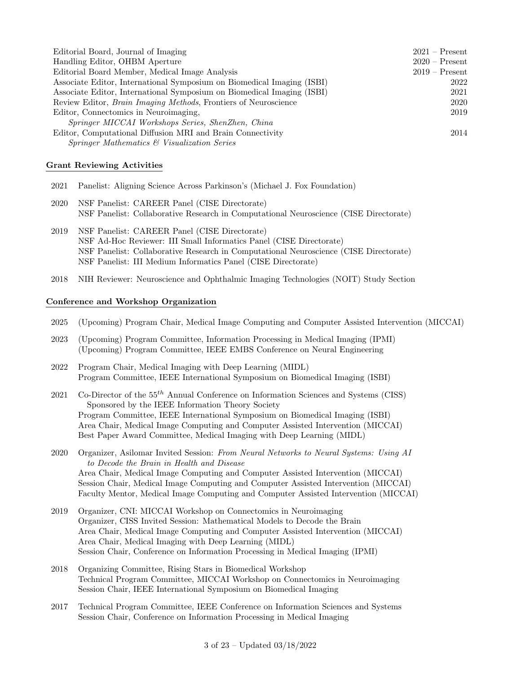| Editorial Board, Journal of Imaging                                     | $2021 -$ Present |
|-------------------------------------------------------------------------|------------------|
| Handling Editor, OHBM Aperture                                          | $2020$ – Present |
| Editorial Board Member, Medical Image Analysis                          | $2019 -$ Present |
| Associate Editor, International Symposium on Biomedical Imaging (ISBI)  | 2022             |
| Associate Editor, International Symposium on Biomedical Imaging (ISBI)  | 2021             |
| Review Editor, <i>Brain Imaging Methods</i> , Frontiers of Neuroscience | 2020             |
| Editor, Connectomics in Neuroimaging,                                   | 2019             |
| Springer MICCAI Workshops Series, ShenZhen, China                       |                  |
| Editor, Computational Diffusion MRI and Brain Connectivity              | 2014             |
| <i>Springer Mathematics &amp; Visualization Series</i>                  |                  |

#### Grant Reviewing Activities

- 2021 Panelist: Aligning Science Across Parkinson's (Michael J. Fox Foundation)
- 2020 NSF Panelist: CAREER Panel (CISE Directorate) NSF Panelist: Collaborative Research in Computational Neuroscience (CISE Directorate)
- 2019 NSF Panelist: CAREER Panel (CISE Directorate) NSF Ad-Hoc Reviewer: III Small Informatics Panel (CISE Directorate) NSF Panelist: Collaborative Research in Computational Neuroscience (CISE Directorate) NSF Panelist: III Medium Informatics Panel (CISE Directorate)
- 2018 NIH Reviewer: Neuroscience and Ophthalmic Imaging Technologies (NOIT) Study Section

#### Conference and Workshop Organization

- 2025 (Upcoming) Program Chair, Medical Image Computing and Computer Assisted Intervention (MICCAI)
- 2023 (Upcoming) Program Committee, Information Processing in Medical Imaging (IPMI) (Upcoming) Program Committee, IEEE EMBS Conference on Neural Engineering
- 2022 Program Chair, Medical Imaging with Deep Learning (MIDL) Program Committee, IEEE International Symposium on Biomedical Imaging (ISBI)
- 2021 Co-Director of the  $55<sup>th</sup>$  Annual Conference on Information Sciences and Systems (CISS) Sponsored by the IEEE Information Theory Society Program Committee, IEEE International Symposium on Biomedical Imaging (ISBI) Area Chair, Medical Image Computing and Computer Assisted Intervention (MICCAI) Best Paper Award Committee, Medical Imaging with Deep Learning (MIDL)
- 2020 Organizer, Asilomar Invited Session: From Neural Networks to Neural Systems: Using AI to Decode the Brain in Health and Disease Area Chair, Medical Image Computing and Computer Assisted Intervention (MICCAI) Session Chair, Medical Image Computing and Computer Assisted Intervention (MICCAI) Faculty Mentor, Medical Image Computing and Computer Assisted Intervention (MICCAI)
- 2019 Organizer, CNI: MICCAI Workshop on Connectomics in Neuroimaging Organizer, CISS Invited Session: Mathematical Models to Decode the Brain Area Chair, Medical Image Computing and Computer Assisted Intervention (MICCAI) Area Chair, Medical Imaging with Deep Learning (MIDL) Session Chair, Conference on Information Processing in Medical Imaging (IPMI)
- 2018 Organizing Committee, Rising Stars in Biomedical Workshop Technical Program Committee, MICCAI Workshop on Connectomics in Neuroimaging Session Chair, IEEE International Symposium on Biomedical Imaging
- 2017 Technical Program Committee, IEEE Conference on Information Sciences and Systems Session Chair, Conference on Information Processing in Medical Imaging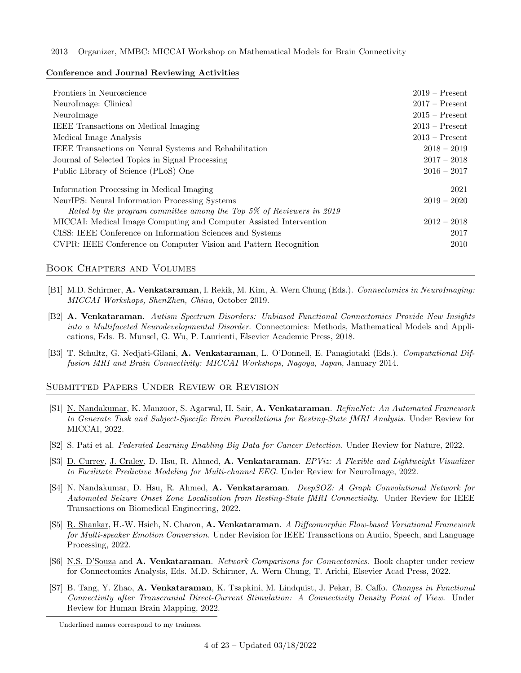#### 2013 Organizer, MMBC: MICCAI Workshop on Mathematical Models for Brain Connectivity

#### Conference and Journal Reviewing Activities

| Frontiers in Neuroscience<br>NeuroImage: Clinical<br>NeuroImage                                                        | $2019 -$ Present<br>$2017 -$ Present<br>$2015 -$ Present<br>$2013 -$ Present |
|------------------------------------------------------------------------------------------------------------------------|------------------------------------------------------------------------------|
| <b>IEEE</b> Transactions on Medical Imaging<br>Medical Image Analysis                                                  | $2013 -$ Present                                                             |
| IEEE Transactions on Neural Systems and Rehabilitation                                                                 | $2018 - 2019$                                                                |
| Journal of Selected Topics in Signal Processing                                                                        | $2017 - 2018$                                                                |
| Public Library of Science (PLoS) One                                                                                   | $2016 - 2017$                                                                |
| Information Processing in Medical Imaging                                                                              | 2021                                                                         |
| NeurIPS: Neural Information Processing Systems<br>Rated by the program committee among the Top 5% of Reviewers in 2019 | $2019 - 2020$                                                                |
| MICCAI: Medical Image Computing and Computer Assisted Intervention                                                     | $2012 - 2018$                                                                |
| CISS: IEEE Conference on Information Sciences and Systems                                                              | 2017                                                                         |
| CVPR: IEEE Conference on Computer Vision and Pattern Recognition                                                       | 2010                                                                         |

## Book Chapters and Volumes

- [B1] M.D. Schirmer, A. Venkataraman, I. Rekik, M. Kim, A. Wern Chung (Eds.). Connectomics in NeuroImaging: MICCAI Workshops, ShenZhen, China, October 2019.
- [B2] A. Venkataraman. Autism Spectrum Disorders: Unbiased Functional Connectomics Provide New Insights into a Multifaceted Neurodevelopmental Disorder. Connectomics: Methods, Mathematical Models and Applications, Eds. B. Munsel, G. Wu, P. Laurienti, Elsevier Academic Press, 2018.
- [B3] T. Schultz, G. Nedjati-Gilani, A. Venkataraman, L. O'Donnell, E. Panagiotaki (Eds.). Computational Diffusion MRI and Brain Connectivity: MICCAI Workshops, Nagoya, Japan, January 2014.

## Submitted Papers Under Review or Revision

- [S1] N. Nandakumar, K. Manzoor, S. Agarwal, H. Sair, A. Venkataraman. RefineNet: An Automated Framework to Generate Task and Subject-Specific Brain Parcellations for Resting-State fMRI Analysis. Under Review for MICCAI, 2022.
- [S2] S. Pati et al. Federated Learning Enabling Big Data for Cancer Detection. Under Review for Nature, 2022.
- [S3] D. Currey, J. Craley, D. Hsu, R. Ahmed, A. Venkataraman. EPViz: A Flexible and Lightweight Visualizer to Facilitate Predictive Modeling for Multi-channel EEG. Under Review for NeuroImage, 2022.
- [S4] N. Nandakumar, D. Hsu, R. Ahmed, A. Venkataraman. DeepSOZ: A Graph Convolutional Network for Automated Seizure Onset Zone Localization from Resting-State fMRI Connectivity. Under Review for IEEE Transactions on Biomedical Engineering, 2022.
- [S5] R. Shankar, H.-W. Hsieh, N. Charon, A. Venkataraman. A Diffeomorphic Flow-based Variational Framework for Multi-speaker Emotion Conversion. Under Revision for IEEE Transactions on Audio, Speech, and Language Processing, 2022.
- [S6] N.S. D'Souza and A. Venkataraman. Network Comparisons for Connectomics. Book chapter under review for Connectomics Analysis, Eds. M.D. Schirmer, A. Wern Chung, T. Arichi, Elsevier Acad Press, 2022.
- [S7] B. Tang, Y. Zhao, A. Venkataraman, K. Tsapkini, M. Lindquist, J. Pekar, B. Caffo. Changes in Functional Connectivity after Transcranial Direct-Current Stimulation: A Connectivity Density Point of View. Under Review for Human Brain Mapping, 2022.

Underlined names correspond to my trainees.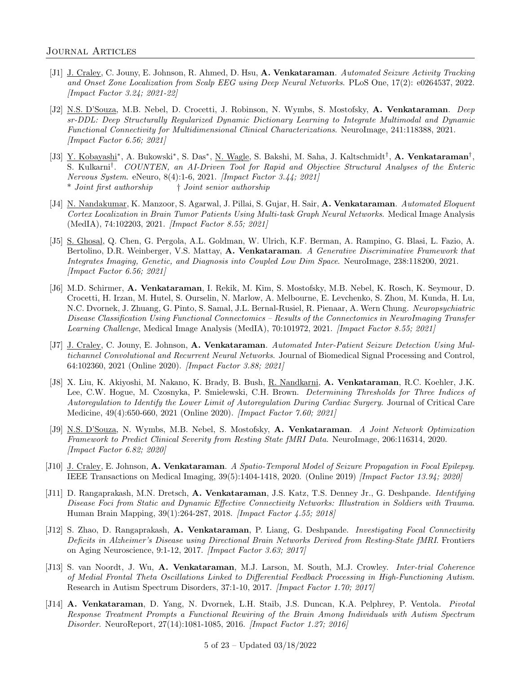- [J1] J. Craley, C. Jouny, E. Johnson, R. Ahmed, D. Hsu, A. Venkataraman. Automated Seizure Activity Tracking and Onset Zone Localization from Scalp EEG using Deep Neural Networks. PLoS One, 17(2): e0264537, 2022. [Impact Factor 3.24; 2021-22]
- [J2] N.S. D'Souza, M.B. Nebel, D. Crocetti, J. Robinson, N. Wymbs, S. Mostofsky, A. Venkataraman. Deep sr-DDL: Deep Structurally Regularized Dynamic Dictionary Learning to Integrate Multimodal and Dynamic Functional Connectivity for Multidimensional Clinical Characterizations. NeuroImage, 241:118388, 2021. [Impact Factor 6.56; 2021]
- [J3] Y. Kobayashi<sup>\*</sup>, A. Bukowski<sup>\*</sup>, S. Das<sup>\*</sup>, <u>N. Wagle</u>, S. Bakshi, M. Saha, J. Kaltschmidt<sup>†</sup>, **A. Venkataraman**<sup>†</sup>, S. Kulkarni† . COUNTEN, an AI-Driven Tool for Rapid and Objective Structural Analyses of the Enteric Nervous System. eNeuro, 8(4):1-6, 2021. [Impact Factor 3.44; 2021] \* Joint first authorship † Joint senior authorship
- [J4] N. Nandakumar, K. Manzoor, S. Agarwal, J. Pillai, S. Gujar, H. Sair, A. Venkataraman. Automated Eloquent Cortex Localization in Brain Tumor Patients Using Multi-task Graph Neural Networks. Medical Image Analysis (MedIA), 74:102203, 2021. [Impact Factor 8.55; 2021]
- [J5] S. Ghosal, Q. Chen, G. Pergola, A.L. Goldman, W. Ulrich, K.F. Berman, A. Rampino, G. Blasi, L. Fazio, A. Bertolino, D.R. Weinberger, V.S. Mattay, A. Venkataraman. A Generative Discriminative Framework that Integrates Imaging, Genetic, and Diagnosis into Coupled Low Dim Space. NeuroImage, 238:118200, 2021. [Impact Factor 6.56; 2021]
- [J6] M.D. Schirmer, A. Venkataraman, I. Rekik, M. Kim, S. Mostofsky, M.B. Nebel, K. Rosch, K. Seymour, D. Crocetti, H. Irzan, M. Hutel, S. Ourselin, N. Marlow, A. Melbourne, E. Levchenko, S. Zhou, M. Kunda, H. Lu, N.C. Dvornek, J. Zhuang, G. Pinto, S. Samal, J.L. Bernal-Rusiel, R. Pienaar, A. Wern Chung. Neuropsychiatric Disease Classification Using Functional Connectomics – Results of the Connectomics in NeuroImaging Transfer Learning Challenge, Medical Image Analysis (MedIA), 70:101972, 2021. [Impact Factor 8.55; 2021]
- [J7] J. Craley, C. Jouny, E. Johnson, A. Venkataraman. Automated Inter-Patient Seizure Detection Using Multichannel Convolutional and Recurrent Neural Networks. Journal of Biomedical Signal Processing and Control, 64:102360, 2021 (Online 2020). [Impact Factor 3.88; 2021]
- [J8] X. Liu, K. Akiyoshi, M. Nakano, K. Brady, B. Bush, R. Nandkarni, A. Venkataraman, R.C. Koehler, J.K. Lee, C.W. Hogue, M. Czosnyka, P. Smielewski, C.H. Brown. Determining Thresholds for Three Indices of Autoregulation to Identify the Lower Limit of Autoregulation During Cardiac Surgery. Journal of Critical Care Medicine, 49(4):650-660, 2021 (Online 2020). [Impact Factor 7.60; 2021]
- [J9] N.S. D'Souza, N. Wymbs, M.B. Nebel, S. Mostofsky, A. Venkataraman. A Joint Network Optimization Framework to Predict Clinical Severity from Resting State fMRI Data. NeuroImage, 206:116314, 2020. [Impact Factor 6.82; 2020]
- [J10] J. Craley, E. Johnson, A. Venkataraman. A Spatio-Temporal Model of Seizure Propagation in Focal Epilepsy. IEEE Transactions on Medical Imaging, 39(5):1404-1418, 2020. (Online 2019) [Impact Factor 13.94; 2020]
- [J11] D. Rangaprakash, M.N. Dretsch, A. Venkataraman, J.S. Katz, T.S. Denney Jr., G. Deshpande. Identifying Disease Foci from Static and Dynamic Effective Connectivity Networks: Illustration in Soldiers with Trauma. Human Brain Mapping, 39(1):264-287, 2018. [Impact Factor 4.55; 2018]
- [J12] S. Zhao, D. Rangaprakash, A. Venkataraman, P. Liang, G. Deshpande. Investigating Focal Connectivity Deficits in Alzheimer's Disease using Directional Brain Networks Derived from Resting-State fMRI. Frontiers on Aging Neuroscience, 9:1-12, 2017. [Impact Factor 3.63; 2017]
- [J13] S. van Noordt, J. Wu, A. Venkataraman, M.J. Larson, M. South, M.J. Crowley. Inter-trial Coherence of Medial Frontal Theta Oscillations Linked to Differential Feedback Processing in High-Functioning Autism. Research in Autism Spectrum Disorders, 37:1-10, 2017. [Impact Factor 1.70; 2017]
- [J14] A. Venkataraman, D. Yang, N. Dvornek, L.H. Staib, J.S. Duncan, K.A. Pelphrey, P. Ventola. Pivotal Response Treatment Prompts a Functional Rewiring of the Brain Among Individuals with Autism Spectrum Disorder. NeuroReport, 27(14):1081-1085, 2016. [Impact Factor 1.27; 2016]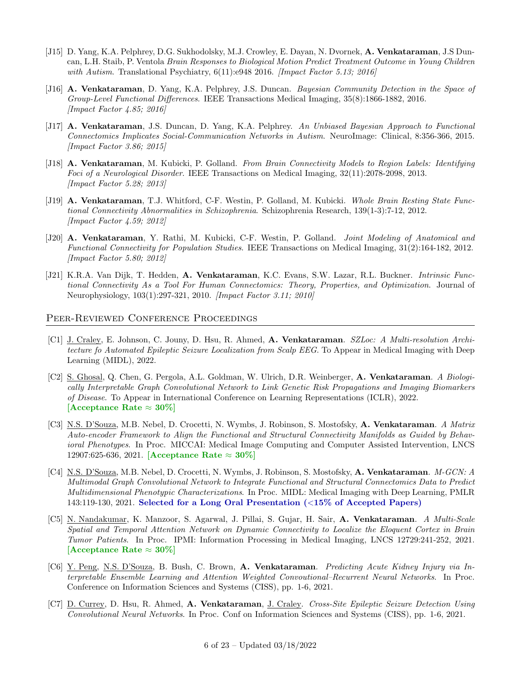- [J15] D. Yang, K.A. Pelphrey, D.G. Sukhodolsky, M.J. Crowley, E. Dayan, N. Dvornek, A. Venkataraman, J.S Duncan, L.H. Staib, P. Ventola Brain Responses to Biological Motion Predict Treatment Outcome in Young Children with Autism. Translational Psychiatry,  $6(11):e948\,2016$ . [Impact Factor 5.13; 2016]
- [J16] A. Venkataraman, D. Yang, K.A. Pelphrey, J.S. Duncan. Bayesian Community Detection in the Space of Group-Level Functional Differences. IEEE Transactions Medical Imaging, 35(8):1866-1882, 2016. [Impact Factor 4.85; 2016]
- [J17] A. Venkataraman, J.S. Duncan, D. Yang, K.A. Pelphrey. An Unbiased Bayesian Approach to Functional Connectomics Implicates Social-Communication Networks in Autism. NeuroImage: Clinical, 8:356-366, 2015. [Impact Factor 3.86; 2015]
- [J18] A. Venkataraman, M. Kubicki, P. Golland. From Brain Connectivity Models to Region Labels: Identifying Foci of a Neurological Disorder. IEEE Transactions on Medical Imaging, 32(11):2078-2098, 2013. [Impact Factor 5.28; 2013]
- [J19] A. Venkataraman, T.J. Whitford, C-F. Westin, P. Golland, M. Kubicki. Whole Brain Resting State Functional Connectivity Abnormalities in Schizophrenia. Schizophrenia Research, 139(1-3):7-12, 2012. [Impact Factor 4.59; 2012]
- [J20] A. Venkataraman, Y. Rathi, M. Kubicki, C-F. Westin, P. Golland. Joint Modeling of Anatomical and Functional Connectivity for Population Studies. IEEE Transactions on Medical Imaging, 31(2):164-182, 2012. [Impact Factor 5.80; 2012]
- [J21] K.R.A. Van Dijk, T. Hedden, A. Venkataraman, K.C. Evans, S.W. Lazar, R.L. Buckner. Intrinsic Functional Connectivity As a Tool For Human Connectomics: Theory, Properties, and Optimization. Journal of Neurophysiology, 103(1):297-321, 2010. [Impact Factor 3.11; 2010]

#### Peer-Reviewed Conference Proceedings

- [C1] J. Craley, E. Johnson, C. Jouny, D. Hsu, R. Ahmed, A. Venkataraman. SZLoc: A Multi-resolution Architecture fo Automated Epileptic Seizure Localization from Scalp EEG. To Appear in Medical Imaging with Deep Learning (MIDL), 2022.
- [C2] S. Ghosal, Q. Chen, G. Pergola, A.L. Goldman, W. Ulrich, D.R. Weinberger, A. Venkataraman. A Biologically Interpretable Graph Convolutional Network to Link Genetic Risk Propagations and Imaging Biomarkers of Disease. To Appear in International Conference on Learning Representations (ICLR), 2022. [Acceptance Rate  $\approx 30\%$ ]
- [C3] N.S. D'Souza, M.B. Nebel, D. Crocetti, N. Wymbs, J. Robinson, S. Mostofsky, A. Venkataraman. A Matrix Auto-encoder Framework to Align the Functional and Structural Connectivity Manifolds as Guided by Behavioral Phenotypes. In Proc. MICCAI: Medical Image Computing and Computer Assisted Intervention, LNCS  $12907:625-636, 2021.$  [Acceptance Rate  $\approx 30\%$ ]
- [C4] N.S. D'Souza, M.B. Nebel, D. Crocetti, N. Wymbs, J. Robinson, S. Mostofsky, A. Venkataraman. M-GCN: A Multimodal Graph Convolutional Network to Integrate Functional and Structural Connectomics Data to Predict Multidimensional Phenotypic Characterizations. In Proc. MIDL: Medical Imaging with Deep Learning, PMLR 143:119-130, 2021. Selected for a Long Oral Presentation (<15% of Accepted Papers)
- [C5] N. Nandakumar, K. Manzoor, S. Agarwal, J. Pillai, S. Gujar, H. Sair, A. Venkataraman. A Multi-Scale Spatial and Temporal Attention Network on Dynamic Connectivity to Localize the Eloquent Cortex in Brain Tumor Patients. In Proc. IPMI: Information Processing in Medical Imaging, LNCS 12729:241-252, 2021. [Acceptance Rate  $\approx 30\%$ ]
- [C6] Y. Peng, N.S. D'Souza, B. Bush, C. Brown, A. Venkataraman. Predicting Acute Kidney Injury via Interpretable Ensemble Learning and Attention Weighted Convoutional–Recurrent Neural Networks. In Proc. Conference on Information Sciences and Systems (CISS), pp. 1-6, 2021.
- [C7] D. Currey, D. Hsu, R. Ahmed, A. Venkataraman, J. Craley. Cross-Site Epileptic Seizure Detection Using Convolutional Neural Networks. In Proc. Conf on Information Sciences and Systems (CISS), pp. 1-6, 2021.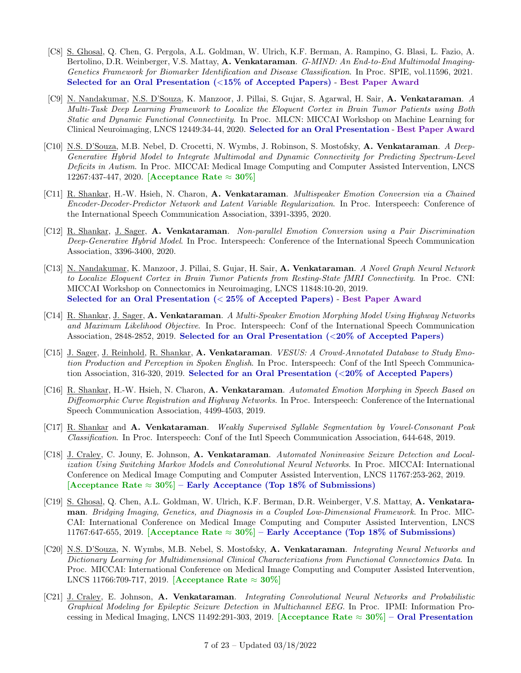- [C8] S. Ghosal, Q. Chen, G. Pergola, A.L. Goldman, W. Ulrich, K.F. Berman, A. Rampino, G. Blasi, L. Fazio, A. Bertolino, D.R. Weinberger, V.S. Mattay, A. Venkataraman. G-MIND: An End-to-End Multimodal Imaging-Genetics Framework for Biomarker Identification and Disease Classification. In Proc. SPIE, vol.11596, 2021. Selected for an Oral Presentation (<15% of Accepted Papers) - Best Paper Award
- [C9] N. Nandakumar, N.S. D'Souza, K. Manzoor, J. Pillai, S. Gujar, S. Agarwal, H. Sair, A. Venkataraman. A Multi-Task Deep Learning Framework to Localize the Eloquent Cortex in Brain Tumor Patients using Both Static and Dynamic Functional Connectivity. In Proc. MLCN: MICCAI Workshop on Machine Learning for Clinical Neuroimaging, LNCS 12449:34-44, 2020. Selected for an Oral Presentation - Best Paper Award
- [C10] N.S. D'Souza, M.B. Nebel, D. Crocetti, N. Wymbs, J. Robinson, S. Mostofsky, A. Venkataraman. A Deep-Generative Hybrid Model to Integrate Multimodal and Dynamic Connectivity for Predicting Spectrum-Level Deficits in Autism. In Proc. MICCAI: Medical Image Computing and Computer Assisted Intervention, LNCS 12267:437-447, 2020. [Acceptance Rate  $\approx 30\%$ ]
- [C11] R. Shankar, H.-W. Hsieh, N. Charon, A. Venkataraman. *Multispeaker Emotion Conversion via a Chained* Encoder-Decoder-Predictor Network and Latent Variable Regularization. In Proc. Interspeech: Conference of the International Speech Communication Association, 3391-3395, 2020.
- [C12] R. Shankar, J. Sager, A. Venkataraman. Non-parallel Emotion Conversion using a Pair Discrimination Deep-Generative Hybrid Model. In Proc. Interspeech: Conference of the International Speech Communication Association, 3396-3400, 2020.
- [C13] N. Nandakumar, K. Manzoor, J. Pillai, S. Gujar, H. Sair, A. Venkataraman. A Novel Graph Neural Network to Localize Eloquent Cortex in Brain Tumor Patients from Resting-State fMRI Connectivity. In Proc. CNI: MICCAI Workshop on Connectomics in Neuroimaging, LNCS 11848:10-20, 2019. Selected for an Oral Presentation (< 25% of Accepted Papers) - Best Paper Award
- [C14] R. Shankar, J. Sager, A. Venkataraman. A Multi-Speaker Emotion Morphing Model Using Highway Networks and Maximum Likelihood Objective. In Proc. Interspeech: Conf of the International Speech Communication Association, 2848-2852, 2019. Selected for an Oral Presentation (<20% of Accepted Papers)
- [C15] J. Sager, J. Reinhold, R. Shankar, A. Venkataraman. VESUS: A Crowd-Annotated Database to Study Emotion Production and Perception in Spoken English. In Proc. Interspeech: Conf of the Intl Speech Communication Association, 316-320, 2019. Selected for an Oral Presentation (<20% of Accepted Papers)
- [C16] R. Shankar, H.-W. Hsieh, N. Charon, A. Venkataraman. Automated Emotion Morphing in Speech Based on Diffeomorphic Curve Registration and Highway Networks. In Proc. Interspeech: Conference of the International Speech Communication Association, 4499-4503, 2019.
- [C17] R. Shankar and A. Venkataraman. Weakly Supervised Syllable Segmentation by Vowel-Consonant Peak Classification. In Proc. Interspeech: Conf of the Intl Speech Communication Association, 644-648, 2019.
- [C18] J. Craley, C. Jouny, E. Johnson, A. Venkataraman. Automated Noninvasive Seizure Detection and Localization Using Switching Markov Models and Convolutional Neural Networks. In Proc. MICCAI: International Conference on Medical Image Computing and Computer Assisted Intervention, LNCS 11767:253-262, 2019. [Acceptance Rate  $\approx 30\%$ ] – Early Acceptance (Top 18% of Submissions)
- [C19] S. Ghosal, Q. Chen, A.L. Goldman, W. Ulrich, K.F. Berman, D.R. Weinberger, V.S. Mattay, A. Venkataraman. Bridging Imaging, Genetics, and Diagnosis in a Coupled Low-Dimensional Framework. In Proc. MIC-CAI: International Conference on Medical Image Computing and Computer Assisted Intervention, LNCS 11767:647-655, 2019. [Acceptance Rate  $\approx 30\%$ ] – Early Acceptance (Top 18% of Submissions)
- [C20] N.S. D'Souza, N. Wymbs, M.B. Nebel, S. Mostofsky, A. Venkataraman. Integrating Neural Networks and Dictionary Learning for Multidimensional Clinical Characterizations from Functional Connectomics Data. In Proc. MICCAI: International Conference on Medical Image Computing and Computer Assisted Intervention, LNCS 11766:709-717, 2019. [Acceptance Rate ≈ 30%]
- [C21] J. Craley, E. Johnson, A. Venkataraman. Integrating Convolutional Neural Networks and Probabilistic Graphical Modeling for Epileptic Seizure Detection in Multichannel EEG. In Proc. IPMI: Information Processing in Medical Imaging, LNCS 11492:291-303, 2019. [Acceptance Rate  $\approx 30\%$ ] – Oral Presentation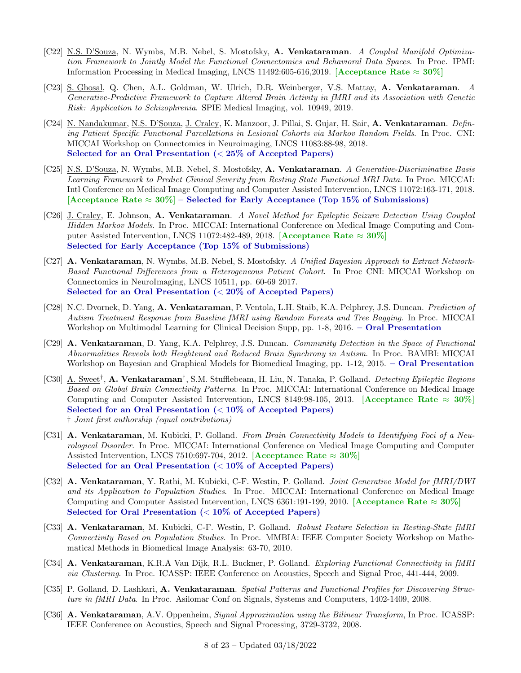- [C22] N.S. D'Souza, N. Wymbs, M.B. Nebel, S. Mostofsky, A. Venkataraman. A Coupled Manifold Optimization Framework to Jointly Model the Functional Connectomics and Behavioral Data Spaces. In Proc. IPMI: Information Processing in Medical Imaging, LNCS 11492:605-616,2019. [Acceptance Rate  $\approx 30\%$ ]
- [C23] S. Ghosal, Q. Chen, A.L. Goldman, W. Ulrich, D.R. Weinberger, V.S. Mattay, A. Venkataraman. A Generative-Predictive Framework to Capture Altered Brain Activity in fMRI and its Association with Genetic Risk: Application to Schizophrenia. SPIE Medical Imaging, vol. 10949, 2019.
- [C24] N. Nandakumar, N.S. D'Souza, J. Craley, K. Manzoor, J. Pillai, S. Gujar, H. Sair, A. Venkataraman. Defining Patient Specific Functional Parcellations in Lesional Cohorts via Markov Random Fields. In Proc. CNI: MICCAI Workshop on Connectomics in Neuroimaging, LNCS 11083:88-98, 2018. Selected for an Oral Presentation (< 25% of Accepted Papers)
- [C25] N.S. D'Souza, N. Wymbs, M.B. Nebel, S. Mostofsky, A. Venkataraman. A Generative-Discriminative Basis Learning Framework to Predict Clinical Severity from Resting State Functional MRI Data. In Proc. MICCAI: Intl Conference on Medical Image Computing and Computer Assisted Intervention, LNCS 11072:163-171, 2018. [Acceptance Rate  $\approx 30\%$ ] – Selected for Early Acceptance (Top 15% of Submissions)
- [C26] J. Craley, E. Johnson, A. Venkataraman. A Novel Method for Epileptic Seizure Detection Using Coupled Hidden Markov Models. In Proc. MICCAI: International Conference on Medical Image Computing and Computer Assisted Intervention, LNCS 11072:482-489, 2018. [Acceptance Rate  $\approx 30\%$ ] Selected for Early Acceptance (Top 15% of Submissions)
- [C27] A. Venkataraman, N. Wymbs, M.B. Nebel, S. Mostofsky. A Unified Bayesian Approach to Extract Network-Based Functional Differences from a Heterogeneous Patient Cohort. In Proc CNI: MICCAI Workshop on Connectomics in NeuroImaging, LNCS 10511, pp. 60-69 2017. Selected for an Oral Presentation (< 20% of Accepted Papers)
- [C28] N.C. Dvornek, D. Yang, A. Venkataraman, P. Ventola, L.H. Staib, K.A. Pelphrey, J.S. Duncan. Prediction of Autism Treatment Response from Baseline fMRI using Random Forests and Tree Bagging. In Proc. MICCAI Workshop on Multimodal Learning for Clinical Decision Supp, pp. 1-8, 2016. – Oral Presentation
- [C29] A. Venkataraman, D. Yang, K.A. Pelphrey, J.S. Duncan. Community Detection in the Space of Functional Abnormalities Reveals both Heightened and Reduced Brain Synchrony in Autism. In Proc. BAMBI: MICCAI Workshop on Bayesian and Graphical Models for Biomedical Imaging, pp. 1-12, 2015. – Oral Presentation
- [C30] A. Sweet<sup>†</sup>, A. Venkataraman<sup>†</sup>, S.M. Stufflebeam, H. Liu, N. Tanaka, P. Golland. *Detecting Epileptic Regions* Based on Global Brain Connectivity Patterns. In Proc. MICCAI: International Conference on Medical Image Computing and Computer Assisted Intervention, LNCS 8149:98-105, 2013. [Acceptance Rate  $\approx 30\%$ ] Selected for an Oral Presentation (< 10% of Accepted Papers) † Joint first authorship (equal contributions)
- [C31] A. Venkataraman, M. Kubicki, P. Golland. From Brain Connectivity Models to Identifying Foci of a Neurological Disorder. In Proc. MICCAI: International Conference on Medical Image Computing and Computer Assisted Intervention, LNCS 7510:697-704, 2012. [Acceptance Rate  $\approx 30\%$ ] Selected for an Oral Presentation (< 10% of Accepted Papers)
- [C32] A. Venkataraman, Y. Rathi, M. Kubicki, C-F. Westin, P. Golland. Joint Generative Model for fMRI/DWI and its Application to Population Studies. In Proc. MICCAI: International Conference on Medical Image Computing and Computer Assisted Intervention, LNCS 6361:191-199, 2010. [Acceptance Rate  $\approx 30\%$ ] Selected for Oral Presentation (< 10% of Accepted Papers)
- [C33] A. Venkataraman, M. Kubicki, C-F. Westin, P. Golland. Robust Feature Selection in Resting-State fMRI Connectivity Based on Population Studies. In Proc. MMBIA: IEEE Computer Society Workshop on Mathematical Methods in Biomedical Image Analysis: 63-70, 2010.
- [C34] A. Venkataraman, K.R.A Van Dijk, R.L. Buckner, P. Golland. Exploring Functional Connectivity in fMRI via Clustering. In Proc. ICASSP: IEEE Conference on Acoustics, Speech and Signal Proc, 441-444, 2009.
- [C35] P. Golland, D. Lashkari, A. Venkataraman. Spatial Patterns and Functional Profiles for Discovering Structure in fMRI Data. In Proc. Asilomar Conf on Signals, Systems and Computers, 1402-1409, 2008.
- [C36] A. Venkataraman, A.V. Oppenheim, Signal Approximation using the Bilinear Transform, In Proc. ICASSP: IEEE Conference on Acoustics, Speech and Signal Processing, 3729-3732, 2008.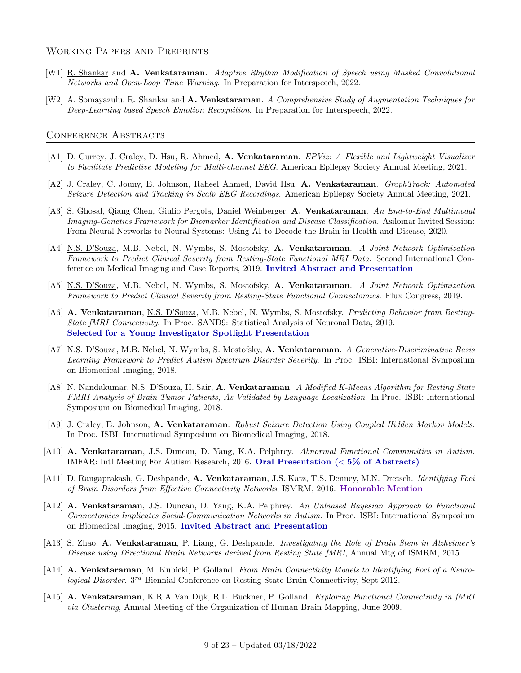#### Working Papers and Preprints

- [W1] R. Shankar and A. Venkataraman. Adaptive Rhythm Modification of Speech using Masked Convolutional Networks and Open-Loop Time Warping. In Preparation for Interspeech, 2022.
- [W2] A. Somayazulu, R. Shankar and A. Venkataraman. A Comprehensive Study of Augmentation Techniques for Deep-Learning based Speech Emotion Recognition. In Preparation for Interspeech, 2022.

#### CONFERENCE ABSTRACTS

- [A1] D. Currey, J. Craley, D. Hsu, R. Ahmed, A. Venkataraman. EPViz: A Flexible and Lightweight Visualizer to Facilitate Predictive Modeling for Multi-channel EEG. American Epilepsy Society Annual Meeting, 2021.
- [A2] J. Craley, C. Jouny, E. Johnson, Raheel Ahmed, David Hsu, A. Venkataraman. GraphTrack: Automated Seizure Detection and Tracking in Scalp EEG Recordings. American Epilepsy Society Annual Meeting, 2021.
- [A3] S. Ghosal, Qiang Chen, Giulio Pergola, Daniel Weinberger, A. Venkataraman. An End-to-End Multimodal Imaging-Genetics Framework for Biomarker Identification and Disease Classification. Asilomar Invited Session: From Neural Networks to Neural Systems: Using AI to Decode the Brain in Health and Disease, 2020.
- [A4] N.S. D'Souza, M.B. Nebel, N. Wymbs, S. Mostofsky, A. Venkataraman. A Joint Network Optimization Framework to Predict Clinical Severity from Resting-State Functional MRI Data. Second International Conference on Medical Imaging and Case Reports, 2019. Invited Abstract and Presentation
- [A5] N.S. D'Souza, M.B. Nebel, N. Wymbs, S. Mostofsky, A. Venkataraman. A Joint Network Optimization Framework to Predict Clinical Severity from Resting-State Functional Connectomics. Flux Congress, 2019.
- [A6] A. Venkataraman, N.S. D'Souza, M.B. Nebel, N. Wymbs, S. Mostofsky. Predicting Behavior from Resting-State fMRI Connectivity. In Proc. SAND9: Statistical Analysis of Neuronal Data, 2019. Selected for a Young Investigator Spotlight Presentation
- [A7] N.S. D'Souza, M.B. Nebel, N. Wymbs, S. Mostofsky, A. Venkataraman. A Generative-Discriminative Basis Learning Framework to Predict Autism Spectrum Disorder Severity. In Proc. ISBI: International Symposium on Biomedical Imaging, 2018.
- [A8] N. Nandakumar, N.S. D'Souza, H. Sair, A. Venkataraman. A Modified K-Means Algorithm for Resting State FMRI Analysis of Brain Tumor Patients, As Validated by Language Localization. In Proc. ISBI: International Symposium on Biomedical Imaging, 2018.
- [A9] J. Craley, E. Johnson, A. Venkataraman. Robust Seizure Detection Using Coupled Hidden Markov Models. In Proc. ISBI: International Symposium on Biomedical Imaging, 2018.
- [A10] A. Venkataraman, J.S. Duncan, D. Yang, K.A. Pelphrey. Abnormal Functional Communities in Autism. IMFAR: Intl Meeting For Autism Research, 2016. Oral Presentation (< 5% of Abstracts)
- [A11] D. Rangaprakash, G. Deshpande, A. Venkataraman, J.S. Katz, T.S. Denney, M.N. Dretsch. *Identifying Foci* of Brain Disorders from Effective Connectivity Networks, ISMRM, 2016. Honorable Mention
- [A12] A. Venkataraman, J.S. Duncan, D. Yang, K.A. Pelphrey. An Unbiased Bayesian Approach to Functional Connectomics Implicates Social-Communication Networks in Autism. In Proc. ISBI: International Symposium on Biomedical Imaging, 2015. Invited Abstract and Presentation
- [A13] S. Zhao, A. Venkataraman, P. Liang, G. Deshpande. Investigating the Role of Brain Stem in Alzheimer's Disease using Directional Brain Networks derived from Resting State fMRI, Annual Mtg of ISMRM, 2015.
- [A14] A. Venkataraman, M. Kubicki, P. Golland. From Brain Connectivity Models to Identifying Foci of a Neurological Disorder. 3<sup>rd</sup> Biennial Conference on Resting State Brain Connectivity, Sept 2012.
- [A15] A. Venkataraman, K.R.A Van Dijk, R.L. Buckner, P. Golland. Exploring Functional Connectivity in fMRI via Clustering, Annual Meeting of the Organization of Human Brain Mapping, June 2009.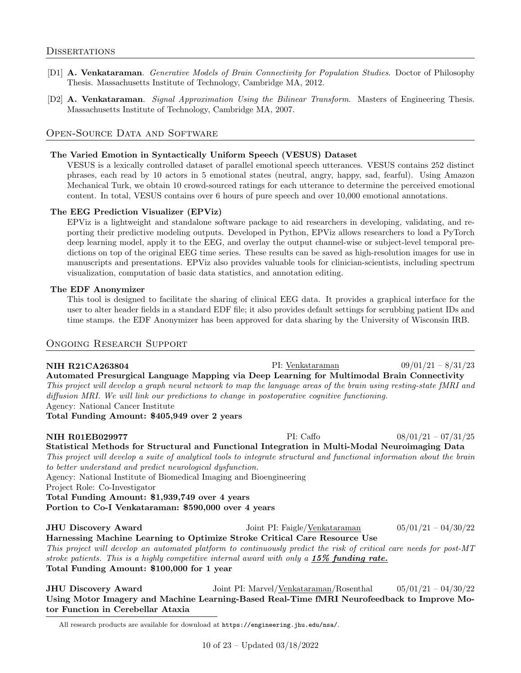- [D1] A. Venkataraman. Generative Models of Brain Connectivity for Population Studies. Doctor of Philosophy Thesis. Massachusetts Institute of Technology, Cambridge MA, 2012.
- [D2] A. Venkataraman. Signal Approximation Using the Bilinear Transform. Masters of Engineering Thesis. Massachusetts Institute of Technology, Cambridge MA, 2007.

## Open-Source Data and Software

#### The Varied Emotion in Syntactically Uniform Speech (VESUS) Dataset

VESUS is a lexically controlled dataset of parallel emotional speech utterances. VESUS contains 252 distinct phrases, each read by 10 actors in 5 emotional states (neutral, angry, happy, sad, fearful). Using Amazon Mechanical Turk, we obtain 10 crowd-sourced ratings for each utterance to determine the perceived emotional content. In total, VESUS contains over 6 hours of pure speech and over 10,000 emotional annotations.

#### The EEG Prediction Visualizer (EPViz)

EPViz is a lightweight and standalone software package to aid researchers in developing, validating, and reporting their predictive modeling outputs. Developed in Python, EPViz allows researchers to load a PyTorch deep learning model, apply it to the EEG, and overlay the output channel-wise or subject-level temporal predictions on top of the original EEG time series. These results can be saved as high-resolution images for use in manuscripts and presentations. EPViz also provides valuable tools for clinician-scientists, including spectrum visualization, computation of basic data statistics, and annotation editing.

#### The EDF Anonymizer

This tool is designed to facilitate the sharing of clinical EEG data. It provides a graphical interface for the user to alter header fields in a standard EDF file; it also provides default settings for scrubbing patient IDs and time stamps. the EDF Anonymizer has been approved for data sharing by the University of Wisconsin IRB.

#### Ongoing Research Support

NIH R21CA263804 PI: Venkataraman 09/01/21 – 8/31/23 Automated Presurgical Language Mapping via Deep Learning for Multimodal Brain Connectivity This project will develop a graph neural network to map the language areas of the brain using resting-state fMRI and diffusion MRI. We will link our predictions to change in postoperative cognitive functioning. Agency: National Cancer Institute

Total Funding Amount: \$405,949 over 2 years

NIH R01EB029977 PI: Caffo 08/01/21 – 07/31/25 Statistical Methods for Structural and Functional Integration in Multi-Modal Neuroimaging Data This project will develop a suite of analytical tools to integrate structural and functional information about the brain to better understand and predict neurological dysfunction. Agency: National Institute of Biomedical Imaging and Bioengineering Project Role: Co-Investigator Total Funding Amount: \$1,939,749 over 4 years Portion to Co-I Venkataraman: \$590,000 over 4 years JHU Discovery Award Joint PI: Faigle/Venkataraman 05/01/21 – 04/30/22

Harnessing Machine Learning to Optimize Stroke Critical Care Resource Use This project will develop an automated platform to continuously predict the risk of critical care needs for post-MT stroke patients. This is a highly competitive internal award with only a  $15\%$  funding rate. Total Funding Amount: \$100,000 for 1 year

JHU Discovery Award Joint PI: Marvel/Venkataraman/Rosenthal 05/01/21 – 04/30/22 Using Motor Imagery and Machine Learning-Based Real-Time fMRI Neurofeedback to Improve Motor Function in Cerebellar Ataxia

All research products are available for download at https://engineering.jhu.edu/nsa/.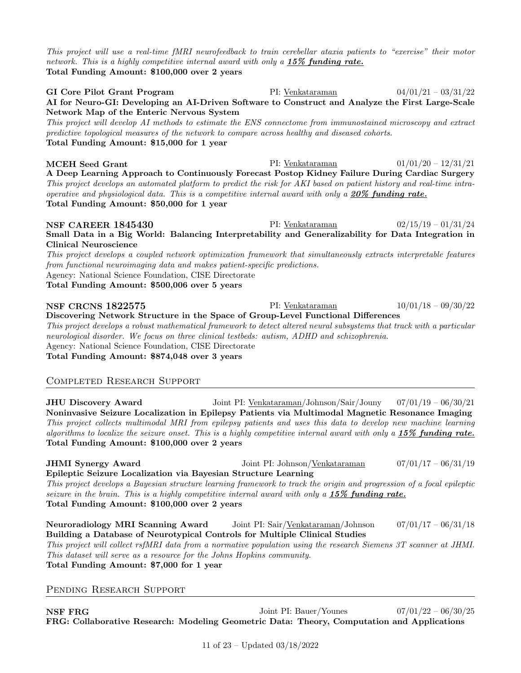This project will use a real-time fMRI neurofeedback to train cerebellar ataxia patients to "exercise" their motor network. This is a highly competitive internal award with only a  $15\%$  funding rate. Total Funding Amount: \$100,000 over 2 years

GI Core Pilot Grant Program PI: Venkataraman  $04/01/21 - 03/31/22$ AI for Neuro-GI: Developing an AI-Driven Software to Construct and Analyze the First Large-Scale Network Map of the Enteric Nervous System This project will develop AI methods to estimate the ENS connectome from immunostained microscopy and extract predictive topological measures of the network to compare across healthy and diseased cohorts. Total Funding Amount: \$15,000 for 1 year **MCEH Seed Grant** PI: Venkataraman  $01/01/20 - 12/31/21$ 

A Deep Learning Approach to Continuously Forecast Postop Kidney Failure During Cardiac Surgery This project develops an automated platform to predict the risk for AKI based on patient history and real-time intraoperative and physiological data. This is a competitive internal award with only a  $20\%$  funding rate. Total Funding Amount: \$50,000 for 1 year

**NSF CAREER 1845430** PI: <u>Venkataraman</u> 02/15/19 – 01/31/24 Small Data in a Big World: Balancing Interpretability and Generalizability for Data Integration in Clinical Neuroscience This project develops a coupled network optimization framework that simultaneously extracts interpretable features

from functional neuroimaging data and makes patient-specific predictions. Agency: National Science Foundation, CISE Directorate

Total Funding Amount: \$500,006 over 5 years

## NSF CRCNS 1822575 PI: Venkataraman 10/01/18 – 09/30/22 Discovering Network Structure in the Space of Group-Level Functional Differences This project develops a robust mathematical framework to detect altered neural subsystems that track with a particular neurological disorder. We focus on three clinical testbeds: autism, ADHD and schizophrenia. Agency: National Science Foundation, CISE Directorate Total Funding Amount: \$874,048 over 3 years

## Completed Research Support

JHU Discovery Award Joint PI: Venkataraman/Johnson/Sair/Jouny 07/01/19 – 06/30/21 Noninvasive Seizure Localization in Epilepsy Patients via Multimodal Magnetic Resonance Imaging This project collects multimodal MRI from epilepsy patients and uses this data to develop new machine learning algorithms to localize the seizure onset. This is a highly competitive internal award with only a  $15\%$  funding rate. Total Funding Amount: \$100,000 over 2 years

JHMI Synergy Award Joint PI: Johnson/Venkataraman 07/01/17 – 06/31/19 Epileptic Seizure Localization via Bayesian Structure Learning This project develops a Bayesian structure learning framework to track the origin and progression of a focal epileptic seizure in the brain. This is a highly competitive internal award with only a  $15\%$  funding rate. Total Funding Amount: \$100,000 over 2 years

Neuroradiology MRI Scanning Award Joint PI: Sair/Venkataraman/Johnson 07/01/17 – 06/31/18 Building a Database of Neurotypical Controls for Multiple Clinical Studies This project will collect rsfMRI data from a normative population using the research Siemens 3T scanner at JHMI. This dataset will serve as a resource for the Johns Hopkins community. Total Funding Amount: \$7,000 for 1 year

PENDING RESEARCH SUPPORT

**NSF FRG** Joint PI: Bauer/Younes 07/01/22 – 06/30/25 FRG: Collaborative Research: Modeling Geometric Data: Theory, Computation and Applications

11 of 23 – Updated 03/18/2022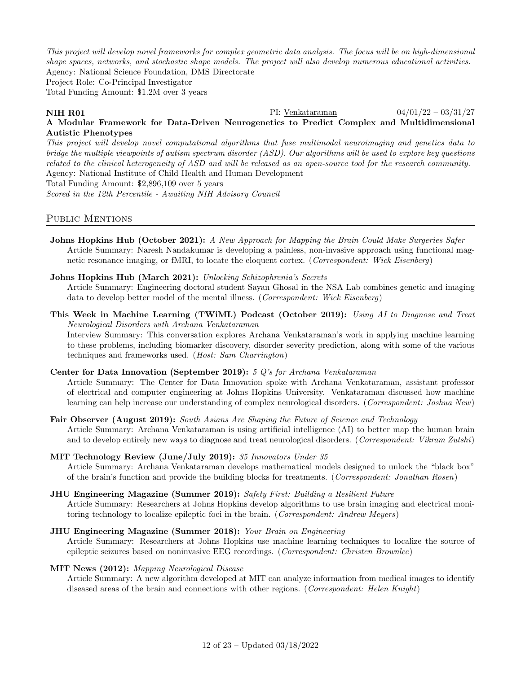This project will develop novel frameworks for complex geometric data analysis. The focus will be on high-dimensional shape spaces, networks, and stochastic shape models. The project will also develop numerous educational activities. Agency: National Science Foundation, DMS Directorate

Project Role: Co-Principal Investigator

Total Funding Amount: \$1.2M over 3 years

# **NIH R01** PI: <u>Venkataraman</u> 04/01/22 – 03/31/27

## A Modular Framework for Data-Driven Neurogenetics to Predict Complex and Multidimensional Autistic Phenotypes

This project will develop novel computational algorithms that fuse multimodal neuroimaging and genetics data to bridge the multiple viewpoints of autism spectrum disorder (ASD). Our algorithms will be used to explore key questions related to the clinical heterogeneity of ASD and will be released as an open-source tool for the research community. Agency: National Institute of Child Health and Human Development Total Funding Amount: \$2,896,109 over 5 years

Scored in the 12th Percentile - Awaiting NIH Advisory Council

## PUBLIC MENTIONS

Johns Hopkins Hub (October 2021): A New Approach for Mapping the Brain Could Make Surgeries Safer Article Summary: Naresh Nandakumar is developing a painless, non-invasive approach using functional magnetic resonance imaging, or fMRI, to locate the eloquent cortex. (Correspondent: Wick Eisenberg)

#### Johns Hopkins Hub (March 2021): Unlocking Schizophrenia's Secrets

Article Summary: Engineering doctoral student Sayan Ghosal in the NSA Lab combines genetic and imaging data to develop better model of the mental illness. (Correspondent: Wick Eisenberg)

This Week in Machine Learning (TWiML) Podcast (October 2019): Using AI to Diagnose and Treat Neurological Disorders with Archana Venkataraman

Interview Summary: This conversation explores Archana Venkataraman's work in applying machine learning to these problems, including biomarker discovery, disorder severity prediction, along with some of the various techniques and frameworks used. (Host: Sam Charrington)

#### Center for Data Innovation (September 2019): 5 Q's for Archana Venkataraman

Article Summary: The Center for Data Innovation spoke with Archana Venkataraman, assistant professor of electrical and computer engineering at Johns Hopkins University. Venkataraman discussed how machine learning can help increase our understanding of complex neurological disorders. (*Correspondent: Joshua New*)

## Fair Observer (August 2019): South Asians Are Shaping the Future of Science and Technology

Article Summary: Archana Venkataraman is using artificial intelligence (AI) to better map the human brain and to develop entirely new ways to diagnose and treat neurological disorders. (Correspondent: Vikram Zutshi)

#### MIT Technology Review (June/July 2019): 35 Innovators Under 35

Article Summary: Archana Venkataraman develops mathematical models designed to unlock the "black box" of the brain's function and provide the building blocks for treatments. (Correspondent: Jonathan Rosen)

#### **JHU Engineering Magazine (Summer 2019):** Safety First: Building a Resilient Future

Article Summary: Researchers at Johns Hopkins develop algorithms to use brain imaging and electrical monitoring technology to localize epileptic foci in the brain. (Correspondent: Andrew Meyers)

#### JHU Engineering Magazine (Summer 2018): Your Brain on Engineering

Article Summary: Researchers at Johns Hopkins use machine learning techniques to localize the source of epileptic seizures based on noninvasive EEG recordings. (Correspondent: Christen Brownlee)

#### MIT News (2012): Mapping Neurological Disease

Article Summary: A new algorithm developed at MIT can analyze information from medical images to identify diseased areas of the brain and connections with other regions. (Correspondent: Helen Knight)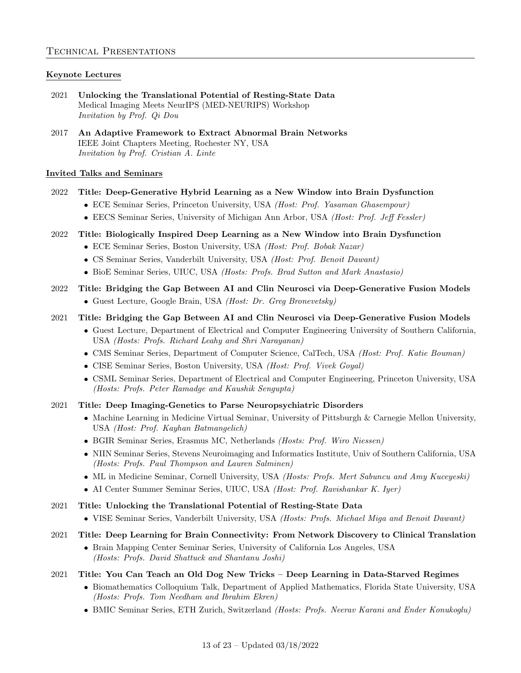## Keynote Lectures

- 2021 Unlocking the Translational Potential of Resting-State Data Medical Imaging Meets NeurIPS (MED-NEURIPS) Workshop Invitation by Prof. Qi Dou
- 2017 An Adaptive Framework to Extract Abnormal Brain Networks IEEE Joint Chapters Meeting, Rochester NY, USA Invitation by Prof. Cristian A. Linte

## Invited Talks and Seminars

- 2022 Title: Deep-Generative Hybrid Learning as a New Window into Brain Dysfunction
	- ECE Seminar Series, Princeton University, USA (Host: Prof. Yasaman Ghasempour)
	- EECS Seminar Series, University of Michigan Ann Arbor, USA (Host: Prof. Jeff Fessler)
- 2022 Title: Biologically Inspired Deep Learning as a New Window into Brain Dysfunction
	- ECE Seminar Series, Boston University, USA (Host: Prof. Bobak Nazar)
	- CS Seminar Series, Vanderbilt University, USA (Host: Prof. Benoit Dawant)
	- BioE Seminar Series, UIUC, USA (Hosts: Profs. Brad Sutton and Mark Anastasio)
- 2022 Title: Bridging the Gap Between AI and Clin Neurosci via Deep-Generative Fusion Models
	- Guest Lecture, Google Brain, USA (Host: Dr. Greg Bronevetsky)

## 2021 Title: Bridging the Gap Between AI and Clin Neurosci via Deep-Generative Fusion Models

- Guest Lecture, Department of Electrical and Computer Engineering University of Southern California, USA (Hosts: Profs. Richard Leahy and Shri Narayanan)
- CMS Seminar Series, Department of Computer Science, CalTech, USA (Host: Prof. Katie Bouman)
- CISE Seminar Series, Boston University, USA (Host: Prof. Vivek Goyal)
- CSML Seminar Series, Department of Electrical and Computer Engineering, Princeton University, USA (Hosts: Profs. Peter Ramadge and Kaushik Sengupta)

#### 2021 Title: Deep Imaging-Genetics to Parse Neuropsychiatric Disorders

- Machine Learning in Medicine Virtual Seminar, University of Pittsburgh & Carnegie Mellon University, USA (Host: Prof. Kayhan Batmangelich)
- BGIR Seminar Series, Erasmus MC, Netherlands (Hosts: Prof. Wiro Niessen)
- NIIN Seminar Series, Stevens Neuroimaging and Informatics Institute, Univ of Southern California, USA (Hosts: Profs. Paul Thompson and Lauren Salminen)
- ML in Medicine Seminar, Cornell University, USA (Hosts: Profs. Mert Sabuncu and Amy Kuceyeski)
- AI Center Summer Seminar Series, UIUC, USA (Host: Prof. Ravishankar K. Iyer)

## 2021 Title: Unlocking the Translational Potential of Resting-State Data

VISE Seminar Series, Vanderbilt University, USA (Hosts: Profs. Michael Miga and Benoit Dawant)

## 2021 Title: Deep Learning for Brain Connectivity: From Network Discovery to Clinical Translation

 Brain Mapping Center Seminar Series, University of California Los Angeles, USA (Hosts: Profs. David Shattuck and Shantanu Joshi)

## 2021 Title: You Can Teach an Old Dog New Tricks – Deep Learning in Data-Starved Regimes

- Biomathematics Colloquium Talk, Department of Applied Mathematics, Florida State University, USA (Hosts: Profs. Tom Needham and Ibrahim Ekren)
- BMIC Seminar Series, ETH Zurich, Switzerland (Hosts: Profs. Neerav Karani and Ender Konukoglu)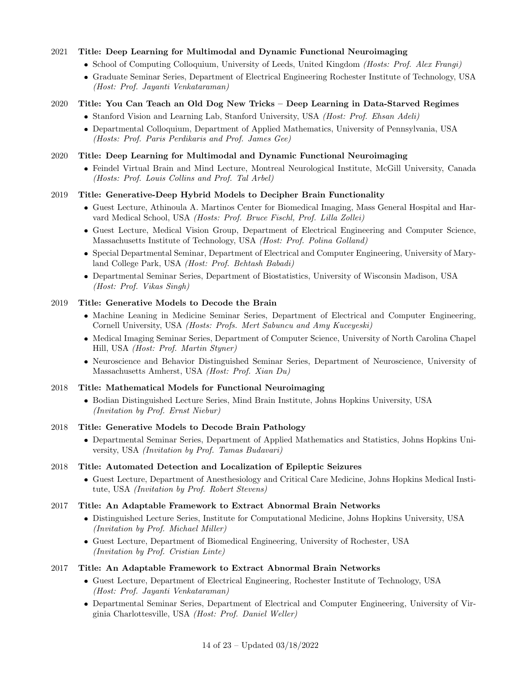## 2021 Title: Deep Learning for Multimodal and Dynamic Functional Neuroimaging

- School of Computing Colloquium, University of Leeds, United Kingdom (Hosts: Prof. Alex Frangi)
- Graduate Seminar Series, Department of Electrical Engineering Rochester Institute of Technology, USA (Host: Prof. Jayanti Venkataraman)

## 2020 Title: You Can Teach an Old Dog New Tricks – Deep Learning in Data-Starved Regimes

- Stanford Vision and Learning Lab, Stanford University, USA (Host: Prof. Ehsan Adeli)
- Departmental Colloquium, Department of Applied Mathematics, University of Pennsylvania, USA (Hosts: Prof. Paris Perdikaris and Prof. James Gee)

## 2020 Title: Deep Learning for Multimodal and Dynamic Functional Neuroimaging

 Feindel Virtual Brain and Mind Lecture, Montreal Neurological Institute, McGill University, Canada (Hosts: Prof. Louis Collins and Prof. Tal Arbel)

## 2019 Title: Generative-Deep Hybrid Models to Decipher Brain Functionality

- Guest Lecture, Athinoula A. Martinos Center for Biomedical Imaging, Mass General Hospital and Harvard Medical School, USA (Hosts: Prof. Bruce Fischl, Prof. Lilla Zollei)
- Guest Lecture, Medical Vision Group, Department of Electrical Engineering and Computer Science, Massachusetts Institute of Technology, USA (Host: Prof. Polina Golland)
- Special Departmental Seminar, Department of Electrical and Computer Engineering, University of Maryland College Park, USA (Host: Prof. Behtash Babadi)
- Departmental Seminar Series, Department of Biostatistics, University of Wisconsin Madison, USA (Host: Prof. Vikas Singh)

#### 2019 Title: Generative Models to Decode the Brain

- Machine Leaning in Medicine Seminar Series, Department of Electrical and Computer Engineering, Cornell University, USA (Hosts: Profs. Mert Sabuncu and Amy Kuceyeski)
- Medical Imaging Seminar Series, Department of Computer Science, University of North Carolina Chapel Hill, USA (Host: Prof. Martin Styner)
- Neuroscience and Behavior Distinguished Seminar Series, Department of Neuroscience, University of Massachusetts Amherst, USA (Host: Prof. Xian Du)

#### 2018 Title: Mathematical Models for Functional Neuroimaging

 Bodian Distinguished Lecture Series, Mind Brain Institute, Johns Hopkins University, USA (Invitation by Prof. Ernst Niebur)

#### 2018 Title: Generative Models to Decode Brain Pathology

 Departmental Seminar Series, Department of Applied Mathematics and Statistics, Johns Hopkins University, USA (Invitation by Prof. Tamas Budavari)

#### 2018 Title: Automated Detection and Localization of Epileptic Seizures

 Guest Lecture, Department of Anesthesiology and Critical Care Medicine, Johns Hopkins Medical Institute, USA (Invitation by Prof. Robert Stevens)

#### 2017 Title: An Adaptable Framework to Extract Abnormal Brain Networks

- Distinguished Lecture Series, Institute for Computational Medicine, Johns Hopkins University, USA (Invitation by Prof. Michael Miller)
- Guest Lecture, Department of Biomedical Engineering, University of Rochester, USA (Invitation by Prof. Cristian Linte)

## 2017 Title: An Adaptable Framework to Extract Abnormal Brain Networks

- Guest Lecture, Department of Electrical Engineering, Rochester Institute of Technology, USA (Host: Prof. Jayanti Venkataraman)
- Departmental Seminar Series, Department of Electrical and Computer Engineering, University of Virginia Charlottesville, USA (Host: Prof. Daniel Weller)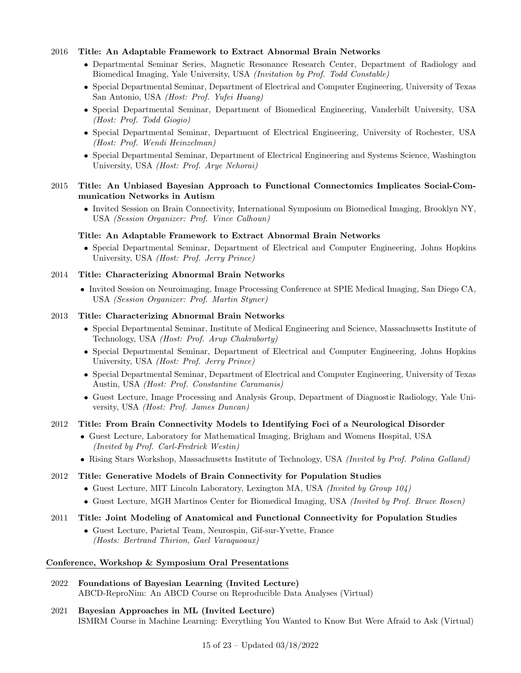## 2016 Title: An Adaptable Framework to Extract Abnormal Brain Networks

- Departmental Seminar Series, Magnetic Resonance Research Center, Department of Radiology and Biomedical Imaging, Yale University, USA (Invitation by Prof. Todd Constable)
- Special Departmental Seminar, Department of Electrical and Computer Engineering, University of Texas San Antonio, USA (Host: Prof. Yufei Huang)
- Special Departmental Seminar, Department of Biomedical Engineering, Vanderbilt University, USA (Host: Prof. Todd Giogio)
- Special Departmental Seminar, Department of Electrical Engineering, University of Rochester, USA (Host: Prof. Wendi Heinzelman)
- Special Departmental Seminar, Department of Electrical Engineering and Systems Science, Washington University, USA (Host: Prof. Arye Nehorai)

#### 2015 Title: An Unbiased Bayesian Approach to Functional Connectomics Implicates Social-Communication Networks in Autism

 Invited Session on Brain Connectivity, International Symposium on Biomedical Imaging, Brooklyn NY, USA (Session Organizer: Prof. Vince Calhoun)

#### Title: An Adaptable Framework to Extract Abnormal Brain Networks

 Special Departmental Seminar, Department of Electrical and Computer Engineering, Johns Hopkins University, USA (Host: Prof. Jerry Prince)

#### 2014 Title: Characterizing Abnormal Brain Networks

 Invited Session on Neuroimaging, Image Processing Conference at SPIE Medical Imaging, San Diego CA, USA (Session Organizer: Prof. Martin Styner)

#### 2013 Title: Characterizing Abnormal Brain Networks

- Special Departmental Seminar, Institute of Medical Engineering and Science, Massachusetts Institute of Technology, USA (Host: Prof. Arup Chakraborty)
- Special Departmental Seminar, Department of Electrical and Computer Engineering, Johns Hopkins University, USA (Host: Prof. Jerry Prince)
- Special Departmental Seminar, Department of Electrical and Computer Engineering, University of Texas Austin, USA (Host: Prof. Constantine Caramanis)
- Guest Lecture, Image Processing and Analysis Group, Department of Diagnostic Radiology, Yale University, USA (Host: Prof. James Duncan)

#### 2012 Title: From Brain Connectivity Models to Identifying Foci of a Neurological Disorder

- Guest Lecture, Laboratory for Mathematical Imaging, Brigham and Womens Hospital, USA (Invited by Prof. Carl-Fredrick Westin)
- Rising Stars Workshop, Massachusetts Institute of Technology, USA (Invited by Prof. Polina Golland)

#### 2012 Title: Generative Models of Brain Connectivity for Population Studies

- Guest Lecture, MIT Lincoln Laboratory, Lexington MA, USA *(Invited by Group 104)*
- Guest Lecture, MGH Martinos Center for Biomedical Imaging, USA *(Invited by Prof. Bruce Rosen)*

#### 2011 Title: Joint Modeling of Anatomical and Functional Connectivity for Population Studies

 Guest Lecture, Parietal Team, Neurospin, Gif-sur-Yvette, France (Hosts: Bertrand Thirion, Gael Varaquoaux)

#### Conference, Workshop & Symposium Oral Presentations

- 2022 Foundations of Bayesian Learning (Invited Lecture) ABCD-ReproNim: An ABCD Course on Reproducible Data Analyses (Virtual)
- 2021 Bayesian Approaches in ML (Invited Lecture) ISMRM Course in Machine Learning: Everything You Wanted to Know But Were Afraid to Ask (Virtual)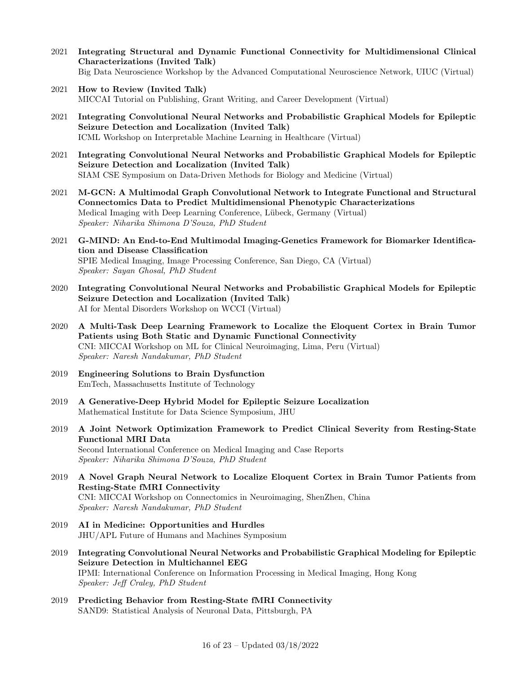- 2021 Integrating Structural and Dynamic Functional Connectivity for Multidimensional Clinical Characterizations (Invited Talk) Big Data Neuroscience Workshop by the Advanced Computational Neuroscience Network, UIUC (Virtual)
- 2021 How to Review (Invited Talk) MICCAI Tutorial on Publishing, Grant Writing, and Career Development (Virtual)
- 2021 Integrating Convolutional Neural Networks and Probabilistic Graphical Models for Epileptic Seizure Detection and Localization (Invited Talk) ICML Workshop on Interpretable Machine Learning in Healthcare (Virtual)
- 2021 Integrating Convolutional Neural Networks and Probabilistic Graphical Models for Epileptic Seizure Detection and Localization (Invited Talk) SIAM CSE Symposium on Data-Driven Methods for Biology and Medicine (Virtual)
- 2021 M-GCN: A Multimodal Graph Convolutional Network to Integrate Functional and Structural Connectomics Data to Predict Multidimensional Phenotypic Characterizations Medical Imaging with Deep Learning Conference, Lübeck, Germany (Virtual) Speaker: Niharika Shimona D'Souza, PhD Student
- 2021 G-MIND: An End-to-End Multimodal Imaging-Genetics Framework for Biomarker Identification and Disease Classification SPIE Medical Imaging, Image Processing Conference, San Diego, CA (Virtual) Speaker: Sayan Ghosal, PhD Student
- 2020 Integrating Convolutional Neural Networks and Probabilistic Graphical Models for Epileptic Seizure Detection and Localization (Invited Talk) AI for Mental Disorders Workshop on WCCI (Virtual)
- 2020 A Multi-Task Deep Learning Framework to Localize the Eloquent Cortex in Brain Tumor Patients using Both Static and Dynamic Functional Connectivity CNI: MICCAI Workshop on ML for Clinical Neuroimaging, Lima, Peru (Virtual) Speaker: Naresh Nandakumar, PhD Student
- 2019 Engineering Solutions to Brain Dysfunction EmTech, Massachusetts Institute of Technology
- 2019 A Generative-Deep Hybrid Model for Epileptic Seizure Localization Mathematical Institute for Data Science Symposium, JHU
- 2019 A Joint Network Optimization Framework to Predict Clinical Severity from Resting-State Functional MRI Data Second International Conference on Medical Imaging and Case Reports Speaker: Niharika Shimona D'Souza, PhD Student
- 2019 A Novel Graph Neural Network to Localize Eloquent Cortex in Brain Tumor Patients from Resting-State fMRI Connectivity CNI: MICCAI Workshop on Connectomics in Neuroimaging, ShenZhen, China Speaker: Naresh Nandakumar, PhD Student
- 2019 AI in Medicine: Opportunities and Hurdles JHU/APL Future of Humans and Machines Symposium
- 2019 Integrating Convolutional Neural Networks and Probabilistic Graphical Modeling for Epileptic Seizure Detection in Multichannel EEG IPMI: International Conference on Information Processing in Medical Imaging, Hong Kong Speaker: Jeff Craley, PhD Student
- 2019 Predicting Behavior from Resting-State fMRI Connectivity SAND9: Statistical Analysis of Neuronal Data, Pittsburgh, PA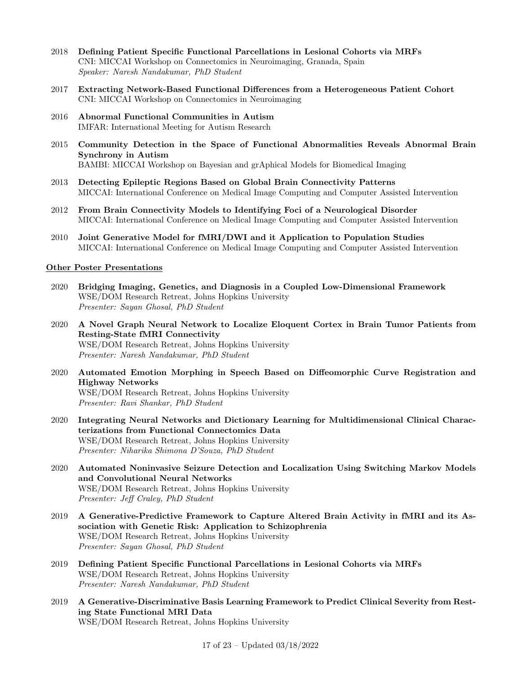- 2018 Defining Patient Specific Functional Parcellations in Lesional Cohorts via MRFs CNI: MICCAI Workshop on Connectomics in Neuroimaging, Granada, Spain Speaker: Naresh Nandakumar, PhD Student
- 2017 Extracting Network-Based Functional Differences from a Heterogeneous Patient Cohort CNI: MICCAI Workshop on Connectomics in Neuroimaging
- 2016 Abnormal Functional Communities in Autism IMFAR: International Meeting for Autism Research
- 2015 Community Detection in the Space of Functional Abnormalities Reveals Abnormal Brain Synchrony in Autism BAMBI: MICCAI Workshop on Bayesian and grAphical Models for Biomedical Imaging
- 2013 Detecting Epileptic Regions Based on Global Brain Connectivity Patterns MICCAI: International Conference on Medical Image Computing and Computer Assisted Intervention
- 2012 From Brain Connectivity Models to Identifying Foci of a Neurological Disorder MICCAI: International Conference on Medical Image Computing and Computer Assisted Intervention
- 2010 Joint Generative Model for fMRI/DWI and it Application to Population Studies MICCAI: International Conference on Medical Image Computing and Computer Assisted Intervention

#### Other Poster Presentations

- 2020 Bridging Imaging, Genetics, and Diagnosis in a Coupled Low-Dimensional Framework WSE/DOM Research Retreat, Johns Hopkins University Presenter: Sayan Ghosal, PhD Student
- 2020 A Novel Graph Neural Network to Localize Eloquent Cortex in Brain Tumor Patients from Resting-State fMRI Connectivity WSE/DOM Research Retreat, Johns Hopkins University Presenter: Naresh Nandakumar, PhD Student
- 2020 Automated Emotion Morphing in Speech Based on Diffeomorphic Curve Registration and Highway Networks WSE/DOM Research Retreat, Johns Hopkins University Presenter: Ravi Shankar, PhD Student
- 2020 Integrating Neural Networks and Dictionary Learning for Multidimensional Clinical Characterizations from Functional Connectomics Data WSE/DOM Research Retreat, Johns Hopkins University Presenter: Niharika Shimona D'Souza, PhD Student
- 2020 Automated Noninvasive Seizure Detection and Localization Using Switching Markov Models and Convolutional Neural Networks WSE/DOM Research Retreat, Johns Hopkins University Presenter: Jeff Craley, PhD Student
- 2019 A Generative-Predictive Framework to Capture Altered Brain Activity in fMRI and its Association with Genetic Risk: Application to Schizophrenia WSE/DOM Research Retreat, Johns Hopkins University Presenter: Sayan Ghosal, PhD Student
- 2019 Defining Patient Specific Functional Parcellations in Lesional Cohorts via MRFs WSE/DOM Research Retreat, Johns Hopkins University Presenter: Naresh Nandakumar, PhD Student
- 2019 A Generative-Discriminative Basis Learning Framework to Predict Clinical Severity from Resting State Functional MRI Data WSE/DOM Research Retreat, Johns Hopkins University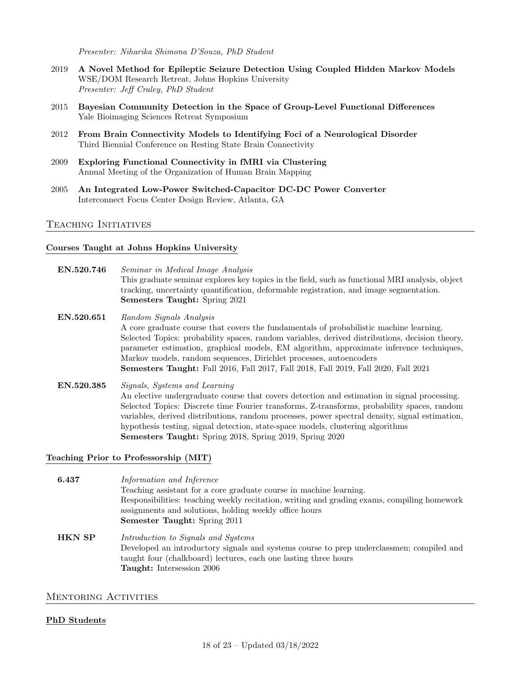Presenter: Niharika Shimona D'Souza, PhD Student

- 2019 A Novel Method for Epileptic Seizure Detection Using Coupled Hidden Markov Models WSE/DOM Research Retreat, Johns Hopkins University Presenter: Jeff Craley, PhD Student
- 2015 Bayesian Community Detection in the Space of Group-Level Functional Differences Yale Bioimaging Sciences Retreat Symposium
- 2012 From Brain Connectivity Models to Identifying Foci of a Neurological Disorder Third Biennial Conference on Resting State Brain Connectivity
- 2009 Exploring Functional Connectivity in fMRI via Clustering Annual Meeting of the Organization of Human Brain Mapping
- 2005 An Integrated Low-Power Switched-Capacitor DC-DC Power Converter Interconnect Focus Center Design Review, Atlanta, GA

#### Teaching Initiatives

#### Courses Taught at Johns Hopkins University

- EN.520.746 Seminar in Medical Image Analysis This graduate seminar explores key topics in the field, such as functional MRI analysis, object tracking, uncertainty quantification, deformable registration, and image segmentation. Semesters Taught: Spring 2021
- EN.520.651 Random Signals Analysis A core graduate course that covers the fundamentals of probabilistic machine learning. Selected Topics: probability spaces, random variables, derived distributions, decision theory, parameter estimation, graphical models, EM algorithm, approximate inference techniques, Markov models, random sequences, Dirichlet processes, autoencoders Semesters Taught: Fall 2016, Fall 2017, Fall 2018, Fall 2019, Fall 2020, Fall 2021
- EN.520.385 Signals, Systems and Learning An elective undergraduate course that covers detection and estimation in signal processing. Selected Topics: Discrete time Fourier transforms, Z-transforms, probability spaces, random variables, derived distributions, random processes, power spectral density, signal estimation, hypothesis testing, signal detection, state-space models, clustering algorithms Semesters Taught: Spring 2018, Spring 2019, Spring 2020

#### Teaching Prior to Professorship (MIT)

6.437 Information and Inference Teaching assistant for a core graduate course in machine learning. Responsibilities: teaching weekly recitation, writing and grading exams, compiling homework assignments and solutions, holding weekly office hours Semester Taught: Spring 2011

**HKN SP** Introduction to Signals and Systems Developed an introductory signals and systems course to prep underclassmen; compiled and taught four (chalkboard) lectures, each one lasting three hours Taught: Intersession 2006

#### MENTORING ACTIVITIES

#### PhD Students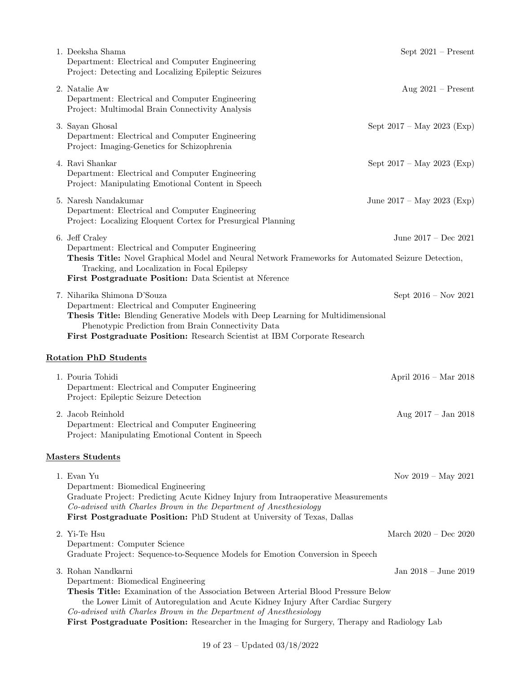| 1. Deeksha Shama<br>Department: Electrical and Computer Engineering<br>Project: Detecting and Localizing Epileptic Seizures                                                                                                                                                                                                                                                                             | Sept $2021$ – Present        |
|---------------------------------------------------------------------------------------------------------------------------------------------------------------------------------------------------------------------------------------------------------------------------------------------------------------------------------------------------------------------------------------------------------|------------------------------|
| 2. Natalie Aw<br>Department: Electrical and Computer Engineering<br>Project: Multimodal Brain Connectivity Analysis                                                                                                                                                                                                                                                                                     | Aug $2021$ – Present         |
| 3. Sayan Ghosal<br>Department: Electrical and Computer Engineering<br>Project: Imaging-Genetics for Schizophrenia                                                                                                                                                                                                                                                                                       | Sept $2017 - May 2023$ (Exp) |
| 4. Ravi Shankar<br>Department: Electrical and Computer Engineering<br>Project: Manipulating Emotional Content in Speech                                                                                                                                                                                                                                                                                 | Sept $2017 - May 2023$ (Exp) |
| 5. Naresh Nandakumar<br>Department: Electrical and Computer Engineering<br>Project: Localizing Eloquent Cortex for Presurgical Planning                                                                                                                                                                                                                                                                 | June $2017 - May 2023$ (Exp) |
| 6. Jeff Craley<br>June $2017 - Dec 2021$<br>Department: Electrical and Computer Engineering<br>Thesis Title: Novel Graphical Model and Neural Network Frameworks for Automated Seizure Detection,<br>Tracking, and Localization in Focal Epilepsy<br>First Postgraduate Position: Data Scientist at Nierence                                                                                            |                              |
| 7. Niharika Shimona D'Souza<br>Sept $2016 - Now 2021$<br>Department: Electrical and Computer Engineering<br>Thesis Title: Blending Generative Models with Deep Learning for Multidimensional<br>Phenotypic Prediction from Brain Connectivity Data<br>First Postgraduate Position: Research Scientist at IBM Corporate Research                                                                         |                              |
| <b>Rotation PhD Students</b>                                                                                                                                                                                                                                                                                                                                                                            |                              |
| 1. Pouria Tohidi<br>Department: Electrical and Computer Engineering<br>Project: Epileptic Seizure Detection                                                                                                                                                                                                                                                                                             | April 2016 – Mar 2018        |
| 2. Jacob Reinhold<br>Department: Electrical and Computer Engineering<br>Project: Manipulating Emotional Content in Speech                                                                                                                                                                                                                                                                               | Aug $2017 - Jan 2018$        |
| <b>Masters Students</b>                                                                                                                                                                                                                                                                                                                                                                                 |                              |
| 1. Evan Yu<br>Department: Biomedical Engineering<br>Graduate Project: Predicting Acute Kidney Injury from Intraoperative Measurements<br>Co-advised with Charles Brown in the Department of Anesthesiology<br>First Postgraduate Position: PhD Student at University of Texas, Dallas                                                                                                                   | Nov $2019 - May 2021$        |
| 2. Yi-Te Hsu<br>Department: Computer Science<br>Graduate Project: Sequence-to-Sequence Models for Emotion Conversion in Speech                                                                                                                                                                                                                                                                          | March $2020 - Dec 2020$      |
| 3. Rohan Nandkarni<br>Department: Biomedical Engineering<br>Thesis Title: Examination of the Association Between Arterial Blood Pressure Below<br>the Lower Limit of Autoregulation and Acute Kidney Injury After Cardiac Surgery<br>Co-advised with Charles Brown in the Department of Anesthesiology<br>First Postgraduate Position: Researcher in the Imaging for Surgery, Therapy and Radiology Lab | Jan $2018 -$ June $2019$     |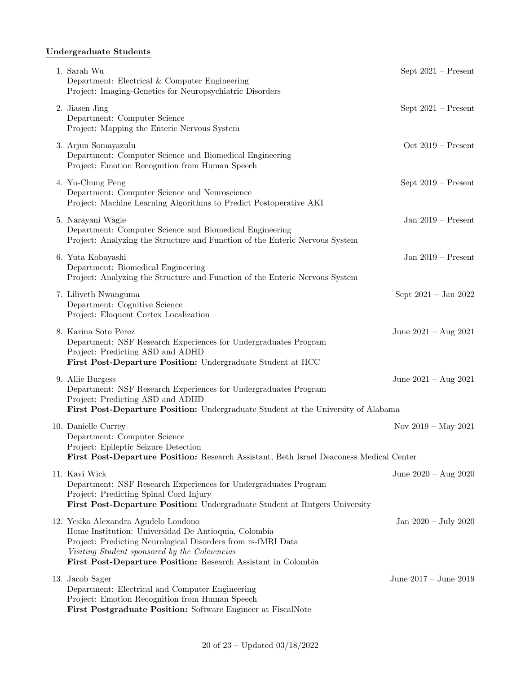# Undergraduate Students

| 1. Sarah Wu<br>Department: Electrical & Computer Engineering<br>Project: Imaging-Genetics for Neuropsychiatric Disorders                                                                                                                                                       | Sept $2021$ – Present          |
|--------------------------------------------------------------------------------------------------------------------------------------------------------------------------------------------------------------------------------------------------------------------------------|--------------------------------|
| 2. Jiasen Jing<br>Department: Computer Science<br>Project: Mapping the Enteric Nervous System                                                                                                                                                                                  | Sept $2021$ – Present          |
| 3. Arjun Somayazulu<br>Department: Computer Science and Biomedical Engineering<br>Project: Emotion Recognition from Human Speech                                                                                                                                               | Oct $2019$ – Present           |
| 4. Yu-Chung Peng<br>Department: Computer Science and Neuroscience<br>Project: Machine Learning Algorithms to Predict Postoperative AKI                                                                                                                                         | Sept $2019$ – Present          |
| 5. Narayani Wagle<br>Department: Computer Science and Biomedical Engineering<br>Project: Analyzing the Structure and Function of the Enteric Nervous System                                                                                                                    | Jan $2019$ – Present           |
| 6. Yuta Kobayashi<br>Department: Biomedical Engineering<br>Project: Analyzing the Structure and Function of the Enteric Nervous System                                                                                                                                         | Jan $2019$ – Present           |
| 7. Liliveth Nwanguma<br>Department: Cognitive Science<br>Project: Eloquent Cortex Localization                                                                                                                                                                                 | Sept $2021 - Jan 2022$         |
| 8. Karina Soto Perez<br>Department: NSF Research Experiences for Undergraduates Program<br>Project: Predicting ASD and ADHD<br>First Post-Departure Position: Undergraduate Student at HCC                                                                                     | June $2021 - Aug 2021$         |
| 9. Allie Burgess<br>Department: NSF Research Experiences for Undergraduates Program<br>Project: Predicting ASD and ADHD<br>First Post-Departure Position: Undergraduate Student at the University of Alabama                                                                   | June $2021 - Aug 2021$         |
| 10. Danielle Currey<br>Department: Computer Science<br>Project: Epileptic Seizure Detection<br>First Post-Departure Position: Research Assistant, Beth Israel Deaconess Medical Center                                                                                         | Nov $2019 - May 2021$          |
| 11. Kavi Wick<br>Department: NSF Research Experiences for Undergraduates Program<br>Project: Predicting Spinal Cord Injury<br>First Post-Departure Position: Undergraduate Student at Rutgers University                                                                       | June $2020 - Aug 2020$         |
| 12. Yesika Alexandra Agudelo Londono<br>Home Institution: Universidad De Antioquia, Colombia<br>Project: Predicting Neurological Disorders from rs-fMRI Data<br>Visiting Student sponsored by the Colciencias<br>First Post-Departure Position: Research Assistant in Colombia | Jan $2020 - \text{July } 2020$ |
| 13. Jacob Sager<br>Department: Electrical and Computer Engineering<br>Project: Emotion Recognition from Human Speech<br>First Postgraduate Position: Software Engineer at FiscalNote                                                                                           | June $2017 -$ June $2019$      |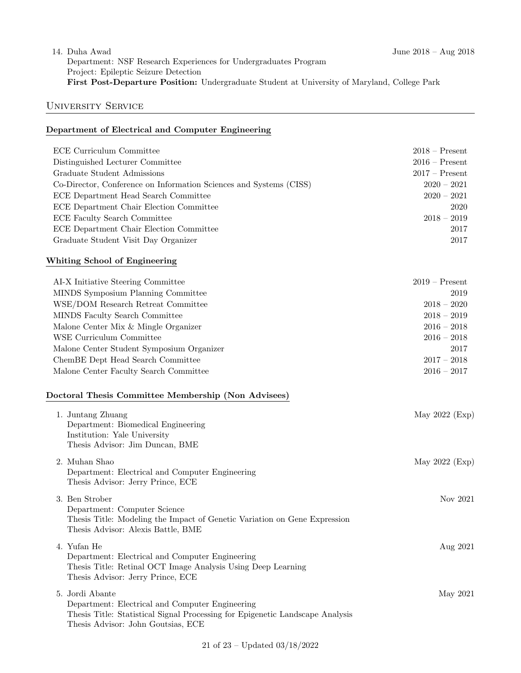## 14. Duha Awad June 2018 – Aug 2018 Department: NSF Research Experiences for Undergraduates Program Project: Epileptic Seizure Detection First Post-Departure Position: Undergraduate Student at University of Maryland, College Park

# University Service

# Department of Electrical and Computer Engineering

| ECE Curriculum Committee                                           | $2018 -$ Present |
|--------------------------------------------------------------------|------------------|
| Distinguished Lecturer Committee                                   | $2016$ – Present |
| Graduate Student Admissions                                        | $2017 -$ Present |
| Co-Director, Conference on Information Sciences and Systems (CISS) | $2020 - 2021$    |
| ECE Department Head Search Committee                               | $2020 - 2021$    |
| ECE Department Chair Election Committee                            | 2020             |
| ECE Faculty Search Committee                                       | $2018 - 2019$    |
| ECE Department Chair Election Committee                            | 2017             |
| Graduate Student Visit Day Organizer                               | 2017             |
| Whiting School of Engineering                                      |                  |
| AI-X Initiative Steering Committee                                 | $2019 -$ Present |
| MINDS Symposium Planning Committee                                 | 2019             |
| WSE/DOM Research Retreat Committee                                 | $2018 - 2020$    |
| MINDS Faculty Search Committee                                     | $2018 - 2019$    |
| Malone Center Mix & Mingle Organizer                               | $2016 - 2018$    |
| WSE Curriculum Committee                                           | $2016 - 2018$    |
| Malone Center Student Symposium Organizer                          | 2017             |
| ChemBE Dept Head Search Committee                                  | $2017 - 2018$    |
| Malone Center Faculty Search Committee                             | $2016 - 2017$    |

## Doctoral Thesis Committee Membership (Non Advisees)

| 1. Juntang Zhuang<br>Department: Biomedical Engineering<br>Institution: Yale University<br>Thesis Advisor: Jim Duncan, BME                                                                | May $2022$ (Exp) |
|-------------------------------------------------------------------------------------------------------------------------------------------------------------------------------------------|------------------|
| 2. Muhan Shao<br>Department: Electrical and Computer Engineering<br>Thesis Advisor: Jerry Prince, ECE                                                                                     | May 2022 (Exp)   |
| 3. Ben Strober<br>Department: Computer Science<br>Thesis Title: Modeling the Impact of Genetic Variation on Gene Expression<br>Thesis Advisor: Alexis Battle, BME                         | Nov 2021         |
| 4. Yufan He<br>Department: Electrical and Computer Engineering<br>Thesis Title: Retinal OCT Image Analysis Using Deep Learning<br>Thesis Advisor: Jerry Prince, ECE                       | Aug 2021         |
| 5. Jordi Abante<br>Department: Electrical and Computer Engineering<br>Thesis Title: Statistical Signal Processing for Epigenetic Landscape Analysis<br>Thesis Advisor: John Goutsias, ECE | May 2021         |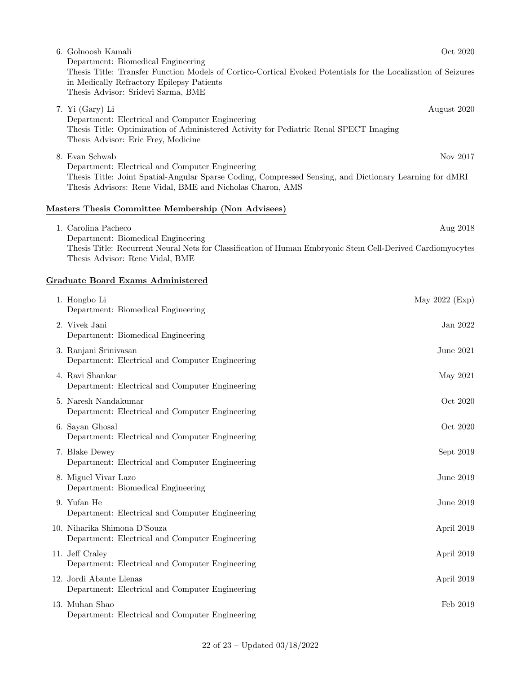| 6. Golnoosh Kamali                                                                                                                                                                                                                        | Oct 2020    |
|-------------------------------------------------------------------------------------------------------------------------------------------------------------------------------------------------------------------------------------------|-------------|
| Department: Biomedical Engineering<br>Thesis Title: Transfer Function Models of Cortico-Cortical Evoked Potentials for the Localization of Seizures<br>in Medically Refractory Epilepsy Patients<br>Thesis Advisor: Sridevi Sarma, BME    |             |
| 7. Yi (Gary) Li<br>Department: Electrical and Computer Engineering<br>Thesis Title: Optimization of Administered Activity for Pediatric Renal SPECT Imaging<br>Thesis Advisor: Eric Frey, Medicine                                        | August 2020 |
| 8. Evan Schwab<br>Department: Electrical and Computer Engineering<br>Thesis Title: Joint Spatial-Angular Sparse Coding, Compressed Sensing, and Dictionary Learning for dMRI<br>Thesis Advisors: Rene Vidal, BME and Nicholas Charon, AMS | Nov 2017    |
| Masters Thesis Committee Membership (Non Advisees)                                                                                                                                                                                        |             |
| 1. Carolina Pacheco<br>$\cdots$ $\cdots$                                                                                                                                                                                                  | Aug 2018    |

Department: Biomedical Engineering Thesis Title: Recurrent Neural Nets for Classification of Human Embryonic Stem Cell-Derived Cardiomyocytes Thesis Advisor: Rene Vidal, BME

## Graduate Board Exams Administered

| 1. Hongbo Li<br>Department: Biomedical Engineering                              | May $2022$ (Exp) |
|---------------------------------------------------------------------------------|------------------|
| 2. Vivek Jani<br>Department: Biomedical Engineering                             | Jan 2022         |
| 3. Ranjani Srinivasan<br>Department: Electrical and Computer Engineering        | June $2021$      |
| 4. Ravi Shankar<br>Department: Electrical and Computer Engineering              | May 2021         |
| 5. Naresh Nandakumar<br>Department: Electrical and Computer Engineering         | Oct 2020         |
| 6. Sayan Ghosal<br>Department: Electrical and Computer Engineering              | Oct 2020         |
| 7. Blake Dewey<br>Department: Electrical and Computer Engineering               | Sept 2019        |
| 8. Miguel Vivar Lazo<br>Department: Biomedical Engineering                      | June 2019        |
| 9. Yufan He<br>Department: Electrical and Computer Engineering                  | June 2019        |
| 10. Niharika Shimona D'Souza<br>Department: Electrical and Computer Engineering | April 2019       |
| 11. Jeff Craley<br>Department: Electrical and Computer Engineering              | April 2019       |
| 12. Jordi Abante Llenas<br>Department: Electrical and Computer Engineering      | April 2019       |
| 13. Muhan Shao<br>Department: Electrical and Computer Engineering               | Feb 2019         |